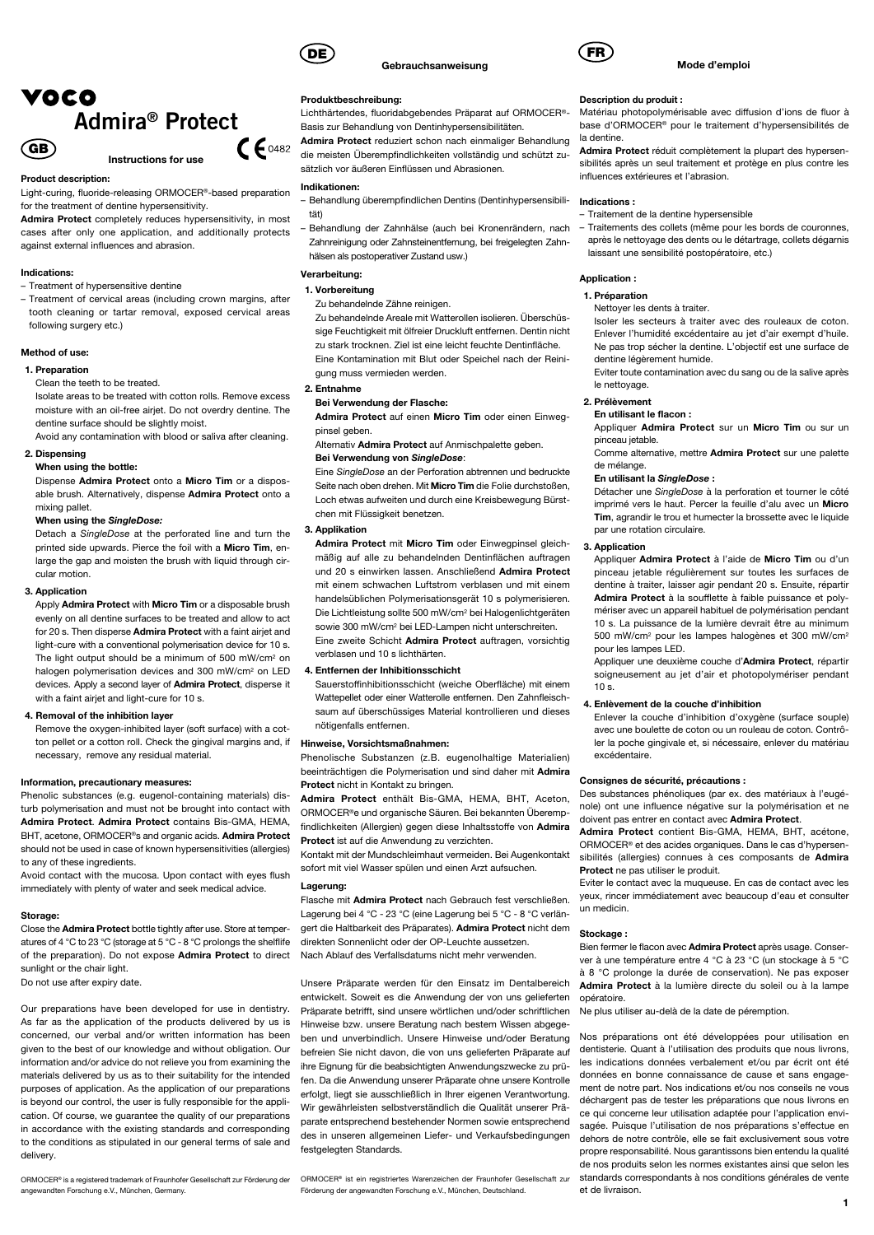

#### Product description:

Light-curing, fluoride-releasing ORMOCER®-based preparation

for the treatment of dentine hypersensitivity. Admira Protect completely reduces hypersensitivity, in most

cases after only one application, and additionally protects against external influences and abrasion.

### Indications:

- Treatment of hypersensitive dentine
- Treatment of cervical areas (including crown margins, after tooth cleaning or tartar removal, exposed cervical areas following surgery etc.)

### Method of use:

#### 1. Preparation

Clean the teeth to be treated.

Isolate areas to be treated with cotton rolls. Remove excess moisture with an oil-free airjet. Do not overdry dentine. The dentine surface should be slightly moist.

Avoid any contamination with blood or saliva after cleaning.

### 2. Dispensing

#### When using the bottle:

Dispense Admira Protect onto a Micro Tim or a disposable brush. Alternatively, dispense Admira Protect onto a mixing pallet.

### When using the SingleDose:

Detach a SingleDose at the perforated line and turn the printed side upwards. Pierce the foil with a Micro Tim, enlarge the gap and moisten the brush with liquid through circular motion.

### 3. Application

Apply Admira Protect with Micro Tim or a disposable brush evenly on all dentine surfaces to be treated and allow to act for 20 s. Then disperse **Admira Protect** with a faint airjet and light-cure with a conventional polymerisation device for 10 s. The light output should be a minimum of 500 mW/cm2 on halogen polymerisation devices and 300 mW/cm2 on LED devices. Apply a second layer of Admira Protect, disperse it with a faint airjet and light-cure for 10 s.

### 4. Removal of the inhibition layer

Remove the oxygen-inhibited layer (soft surface) with a cotton pellet or a cotton roll. Check the gingival margins and, if necessary, remove any residual material.

#### Information, precautionary measures:

Phenolic substances (e.g. eugenol-containing materials) disturb polymerisation and must not be brought into contact with Admira Protect. Admira Protect contains Bis-GMA, HEMA, BHT, acetone, ORMOCER®s and organic acids. Admira Protect should not be used in case of known hypersensitivities (allergies) to any of these ingredients.

Avoid contact with the mucosa. Upon contact with eyes flush immediately with plenty of water and seek medical advice.

### Storage:

Close the Admira Protect bottle tightly after use. Store at temperatures of 4 °C to 23 °C (storage at 5 °C - 8 °C prolongs the shelflife of the preparation). Do not expose Admira Protect to direct sunlight or the chair light. Do not use after expiry date.

Our preparations have been developed for use in dentistry. As far as the application of the products delivered by us is concerned, our verbal and/or written information has been given to the best of our knowledge and without obligation. Our information and/or advice do not relieve you from examining the materials delivered by us as to their suitability for the intended purposes of application. As the application of our preparations is beyond our control, the user is fully responsible for the application. Of course, we guarantee the quality of our preparations in accordance with the existing standards and corresponding to the conditions as stipulated in our general terms of sale and delivery.

ORMOCER® is a registered trademark of Fraunhofer Gesellschaft zur Förderung der

angewandten Forschung e.V., München, Germany.



### Produktbeschreibung:

Lichthärtendes, fluoridabgebendes Präparat auf ORMOCER®- Basis zur Behandlung von Dentinhypersensibilitäten.

Gebrauchsanweisung

Admira Protect reduziert schon nach einmaliger Behandlung die meisten Überempfindlichkeiten vollständig und schützt zusätzlich vor äußeren Einflüssen und Abrasionen.

### Indikationen:

- Behandlung überempfindlichen Dentins (Dentinhypersensibilität)
- Behandlung der Zahnhälse (auch bei Kronenrändern, nach Zahnreinigung oder Zahnsteinentfernung, bei freigelegten Zahnhälsen als postoperativer Zustand usw.)

Verarbeitung:

### 1. Vorbereitung

Zu behandelnde Zähne reinigen.

Zu behandelnde Areale mit Watterollen isolieren. Überschüssige Feuchtigkeit mit ölfreier Druckluft entfernen. Dentin nicht zu stark trocknen. Ziel ist eine leicht feuchte Dentinfläche. Eine Kontamination mit Blut oder Speichel nach der Reinigung muss vermieden werden.

#### 2. Entnahme

#### Bei Verwendung der Flasche:

Admira Protect auf einen Micro Tim oder einen Einwegpinsel geben.

#### Alternativ Admira Protect auf Anmischpalette geben.

Bei Verwendung von SingleDose:

Eine SingleDose an der Perforation abtrennen und bedruckte Seite nach oben drehen. Mit Micro Tim die Folie durchstoßen, Loch etwas aufweiten und durch eine Kreisbewegung Bürstchen mit Flüssigkeit benetzen.

#### 3. Applikation

Admira Protect mit Micro Tim oder Finwegpinsel gleichmäßig auf alle zu behandelnden Dentinflächen auftragen und 20 s einwirken lassen. Anschließend Admira Protect mit einem schwachen Luftstrom verblasen und mit einem handelsüblichen Polymerisationsgerät 10 s polymerisieren. Die Lichtleistung sollte 500 mW/cm2 bei Halogenlichtgeräten sowie 300 mW/cm2 bei LED-Lampen nicht unterschreiten. Eine zweite Schicht Admira Protect auftragen, vorsichtig verblasen und 10 s lichthärten.

#### 4. Entfernen der Inhibitionsschicht

Sauerstoffinhibitionsschicht (weiche Oberfläche) mit einem Wattepellet oder einer Watterolle entfernen. Den Zahnfleischsaum auf überschüssiges Material kontrollieren und dieses nötigenfalls entfernen.

#### Hinweise, Vorsichtsmaßnahmen:

Phenolische Substanzen (z.B. eugenolhaltige Materialien) beeinträchtigen die Polymerisation und sind daher mit Admira Protect nicht in Kontakt zu bringen.

Admira Protect enthält Bis-GMA, HEMA, BHT, Aceton, ORMOCER®e und organische Säuren. Bei bekannten Überempfindlichkeiten (Allergien) gegen diese Inhaltsstoffe von Admira Protect ist auf die Anwendung zu verzichten.

Kontakt mit der Mundschleimhaut vermeiden. Bei Augenkontakt sofort mit viel Wasser spülen und einen Arzt aufsuchen.

#### Lagerung:

Flasche mit Admira Protect nach Gebrauch fest verschließen. Lagerung bei 4 °C - 23 °C (eine Lagerung bei 5 °C - 8 °C verlängert die Haltbarkeit des Präparates). Admira Protect nicht dem direkten Sonnenlicht oder der OP-Leuchte aussetzen. Nach Ablauf des Verfallsdatums nicht mehr verwenden.

Unsere Präparate werden für den Einsatz im Dentalbereich entwickelt. Soweit es die Anwendung der von uns gelieferten Präparate betrifft, sind unsere wörtlichen und/oder schriftlichen Hinweise bzw. unsere Beratung nach bestem Wissen abgegeben und unverbindlich. Unsere Hinweise und/oder Beratung befreien Sie nicht davon, die von uns gelieferten Präparate auf ihre Eignung für die beabsichtigten Anwendungszwecke zu prüfen. Da die Anwendung unserer Präparate ohne unsere Kontrolle erfolgt, liegt sie ausschließlich in Ihrer eigenen Verantwortung. Wir gewährleisten selbstverständlich die Qualität unserer Präparate entsprechend bestehender Normen sowie entsprechend des in unseren allgemeinen Liefer- und Verkaufsbedingungen festgelegten Standards.

ORMOCER® ist ein registriertes Warenzeichen der Fraunhofer Gesellschaft zur Förderung der angewandten Forschung e.V., München, Deutschland.



#### Description du produit :

Matériau photopolymérisable avec diffusion d'ions de fluor à base d'ORMOCER® pour le traitement d'hypersensibilités de la dentine.

Admira Protect réduit complètement la plupart des hypersensibilités après un seul traitement et protège en plus contre les influences extérieures et l'abrasion.

### Indications :

- Traitement de la dentine hypersensible
- Traitements des collets (même pour les bords de couronnes, après le nettoyage des dents ou le détartrage, collets dégarnis laissant une sensibilité postopératoire, etc.)

### Application :

### 1. Préparation

Nettoyer les dents à traiter.

Isoler les secteurs à traiter avec des rouleaux de coton. Enlever l'humidité excédentaire au jet d'air exempt d'huile. Ne pas trop sécher la dentine. L'objectif est une surface de dentine légèrement humide.

Eviter toute contamination avec du sang ou de la salive après le nettoyage.

### 2. Prélèvement

### En utilisant le flacon :

Appliquer Admira Protect sur un Micro Tim ou sur un pinceau jetable. Comme alternative, mettre Admira Protect sur une palette

de mélange.

### En utilisant la SingleDose :

Détacher une SingleDose à la perforation et tourner le côté imprimé vers le haut. Percer la feuille d'alu avec un Micro Tim, agrandir le trou et humecter la brossette avec le liquide par une rotation circulaire.

#### 3. Application

Appliquer Admira Protect à l'aide de Micro Tim ou d'un pinceau jetable régulièrement sur toutes les surfaces de dentine à traiter, laisser agir pendant 20 s. Ensuite, répartir Admira Protect à la soufflette à faible puissance et polymériser avec un appareil habituel de polymérisation pendant 10 s. La puissance de la lumière devrait être au minimum 500 mW/cm2 pour les lampes halogènes et 300 mW/cm2 pour les lampes LED.

Appliquer une deuxième couche d'Admira Protect, répartir soigneusement au jet d'air et photopolymériser pendant 10 s.

#### 4. Enlèvement de la couche d'inhibition

Enlever la couche d'inhibition d'oxygène (surface souple) avec une boulette de coton ou un rouleau de coton. Contrôler la poche gingivale et, si nécessaire, enlever du matériau excédentaire.

#### Consignes de sécurité, précautions :

Des substances phénoliques (par ex. des matériaux à l'eugénole) ont une influence négative sur la polymérisation et ne doivent pas entrer en contact avec Admira Protect.

Admira Protect contient Bis-GMA, HEMA, BHT, acétone, ORMOCER® et des acides organiques. Dans le cas d'hypersensibilités (allergies) connues à ces composants de Admira Protect ne pas utiliser le produit.

Eviter le contact avec la muqueuse. En cas de contact avec les yeux, rincer immédiatement avec beaucoup d'eau et consulter un medicin.

### Stockage :

Bien fermer le flacon avec Admira Protect après usage. Conserver à une température entre 4 °C à 23 °C (un stockage à 5 °C à 8 °C prolonge la durée de conservation). Ne pas exposer Admira Protect à la lumière directe du soleil ou à la lampe opératoire.

Ne plus utiliser au-delà de la date de péremption.

Nos préparations ont été développées pour utilisation en dentisterie. Quant à l'utilisation des produits que nous livrons, les indications données verbalement et/ou par écrit ont été données en bonne connaissance de cause et sans engagement de notre part. Nos indications et/ou nos conseils ne vous déchargent pas de tester les préparations que nous livrons en ce qui concerne leur utilisation adaptée pour l'application envisagée. Puisque l'utilisation de nos préparations s'effectue en dehors de notre contrôle, elle se fait exclusivement sous votre propre responsabilité. Nous garantissons bien entendu la qualité de nos produits selon les normes existantes ainsi que selon les standards correspondants à nos conditions générales de vente et de livraison.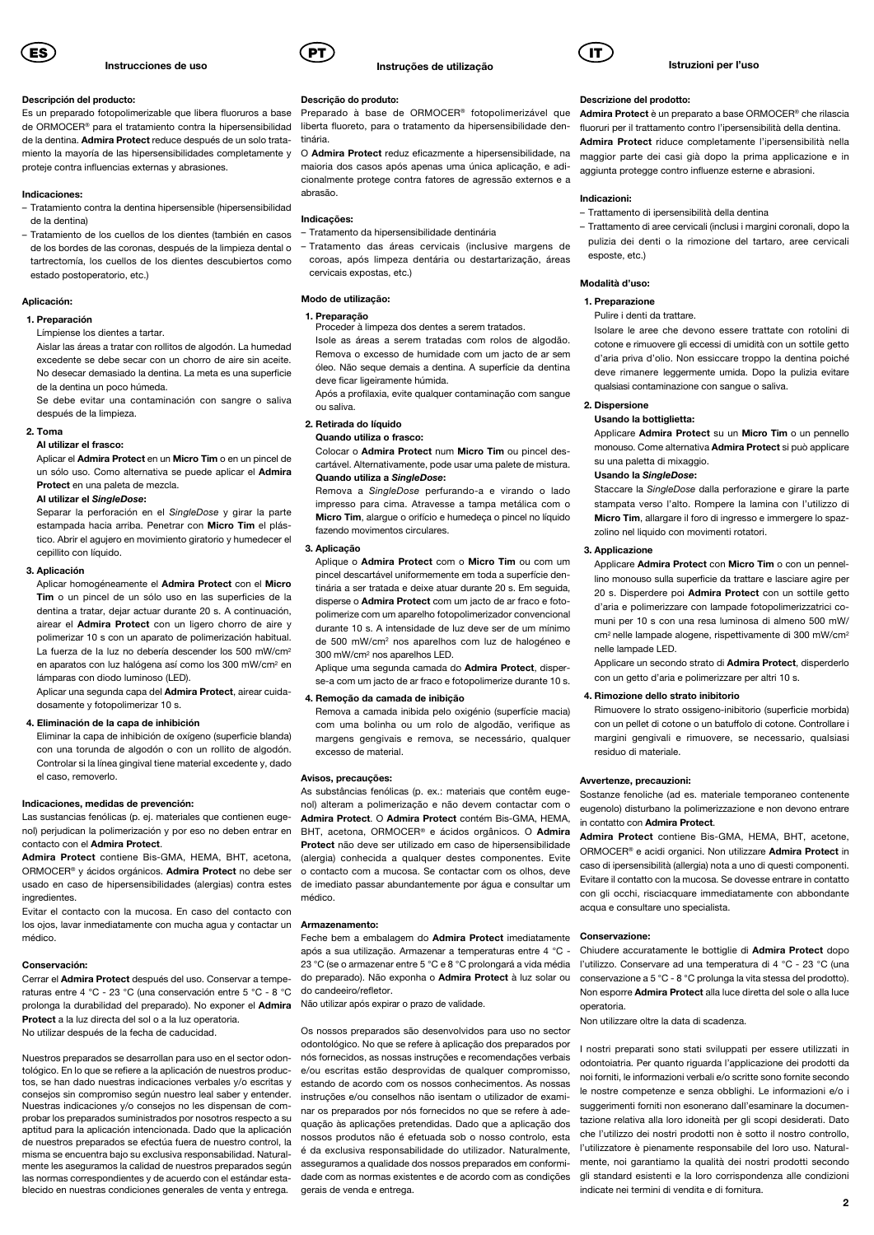

#### Descripción del producto:

Es un preparado fotopolimerizable que libera fluoruros a base de ORMOCER® para el tratamiento contra la hipersensibilidad de la dentina. Admira Protect reduce después de un solo trataproteje contra influencias externas y abrasiones.

#### Indicaciones:

- Tratamiento contra la dentina hipersensible (hipersensibilidad de la dentina)
- Tratamiento de los cuellos de los dientes (también en casos de los bordes de las coronas, después de la limpieza dental o tartrectomía, los cuellos de los dientes descubiertos como estado postoperatorio, etc.)

#### Aplicación:

#### 1. Preparación

Límpiense los dientes a tartar.

Aislar las áreas a tratar con rollitos de algodón. La humedad excedente se debe secar con un chorro de aire sin aceite. No desecar demasiado la dentina. La meta es una superficie de la dentina un poco húmeda.

Se debe evitar una contaminación con sangre o saliva después de la limpieza.

### 2. Toma

### Al utilizar el frasco:

Aplicar el Admira Protect en un Micro Tim o en un pincel de un sólo uso. Como alternativa se puede aplicar el Admira Protect en una paleta de mezcla.

#### Al utilizar el SingleDose:

Separar la perforación en el SingleDose y girar la parte estampada hacia arriba. Penetrar con Micro Tim el plástico. Abrir el agujero en movimiento giratorio y humedecer el cepillito con líquido.

### 3. Aplicación

Aplicar homogéneamente el Admira Protect con el Micro Tim o un pincel de un sólo uso en las superficies de la dentina a tratar, dejar actuar durante 20 s. A continuación, airear el Admira Protect con un ligero chorro de aire y polimerizar 10 s con un aparato de polimerización habitual. La fuerza de la luz no debería descender los 500 mW/cm2 en aparatos con luz halógena así como los 300 mW/cm2 en lámparas con diodo luminoso (LED).

Aplicar una segunda capa del Admira Protect, airear cuidadosamente y fotopolimerizar 10 s.

#### 4. Eliminación de la capa de inhibición

Eliminar la capa de inhibición de oxígeno (superficie blanda) con una torunda de algodón o con un rollito de algodón. Controlar si la línea gingival tiene material excedente y, dado el caso, removerlo.

#### Indicaciones, medidas de prevención:

Las sustancias fenólicas (p. ej. materiales que contienen eugenol) perjudican la polimerización y por eso no deben entrar en contacto con el Admira Protect.

Admira Protect contiene Bis-GMA, HEMA, BHT, acetona, ORMOCER® y ácidos orgánicos. Admira Protect no debe ser usado en caso de hipersensibilidades (alergias) contra estes ingredientes.

Evitar el contacto con la mucosa. En caso del contacto con los ojos, lavar inmediatamente con mucha agua y contactar un médico.

#### Conservación:

Cerrar el Admira Protect después del uso. Conservar a temperaturas entre 4 °C - 23 °C (una conservación entre 5 °C - 8 °C prolonga la durabilidad del preparado). No exponer el Admira Protect a la luz directa del sol o a la luz operatoria. No utilizar después de la fecha de caducidad.

Nuestros preparados se desarrollan para uso en el sector odontológico. En lo que se refiere a la aplicación de nuestros productos, se han dado nuestras indicaciones verbales y/o escritas y consejos sin compromiso según nuestro leal saber y entender. Nuestras indicaciones y/o consejos no les dispensan de comprobar los preparados suministrados por nosotros respecto a su aptitud para la aplicación intencionada. Dado que la aplicación de nuestros preparados se efectúa fuera de nuestro control, la misma se encuentra bajo su exclusiva responsabilidad. Naturalmente les aseguramos la calidad de nuestros preparados según las normas correspondientes y de acuerdo con el estándar establecido en nuestras condiciones generales de venta y entrega.



#### Descrição do produto:

Preparado à base de ORMOCER® fotopolimerizável que liberta fluoreto, para o tratamento da hipersensibilidade dentinária.

miento la mayoría de las hipersensibilidades completamente y O Admira Protect reduz eficazmente a hipersensibilidade, na maioria dos casos após apenas uma única aplicação, e adicionalmente protege contra fatores de agressão externos e a abrasão.

### Indicações:

- Tratamento da hipersensibilidade dentinária
- Tratamento das áreas cervicais (inclusive margens de coroas, após limpeza dentária ou destartarização, áreas cervicais expostas, etc.)

#### Modo de utilização:

#### 1. Preparação

Proceder à limpeza dos dentes a serem tratados.

Isole as áreas a serem tratadas com rolos de algodão. Remova o excesso de humidade com um jacto de ar sem óleo. Não seque demais a dentina. A superfície da dentina deve ficar ligeiramente húmida.

Após a profilaxia, evite qualquer contaminação com sangue ou saliva.

### 2. Retirada do líquido

Quando utiliza o frasco:

Colocar o Admira Protect num Micro Tim ou pincel descartável. Alternativamente, pode usar uma palete de mistura. Quando utiliza a SingleDose:

### Remova a SingleDose perfurando-a e virando o lado impresso para cima. Atravesse a tampa metálica com o Micro Tim, alargue o orifício e humedeça o pincel no líquido fazendo movimentos circulares.

### 3. Aplicação

Aplique o Admira Protect com o Micro Tim ou com um pincel descartável uniformemente em toda a superfície dentinária a ser tratada e deixe atuar durante 20 s. Em seguida, disperse o Admira Protect com um jacto de ar fraco e fotopolimerize com um aparelho fotopolimerizador convencional durante 10 s. A intensidade de luz deve ser de um mínimo de 500 mW/cm2 nos aparelhos com luz de halogéneo e 300 mW/cm2 nos aparelhos LED.

Aplique uma segunda camada do Admira Protect, disperse-a com um jacto de ar fraco e fotopolimerize durante 10 s.

### 4. Remoção da camada de inibição

Remova a camada inibida pelo oxigénio (superfície macia) com uma bolinha ou um rolo de algodão, verifique as margens gengivais e remova, se necessário, qualquer excesso de material.

#### Avisos, precauções:

As substâncias fenólicas (p. ex.: materiais que contêm eugenol) alteram a polimerização e não devem contactar com o Admira Protect. O Admira Protect contém Bis-GMA, HEMA, BHT, acetona, ORMOCER® e ácidos orgânicos. O Admira Protect não deve ser utilizado em caso de hipersensibilidade (alergia) conhecida a qualquer destes componentes. Evite o contacto com a mucosa. Se contactar com os olhos, deve de imediato passar abundantemente por água e consultar um médico.

#### Armazenamento:

Feche bem a embalagem do Admira Protect imediatamente após a sua utilização. Armazenar a temperaturas entre 4 °C - 23 °C (se o armazenar entre 5 °C e 8 °C prolongará a vida média do preparado). Não exponha o Admira Protect à luz solar ou do candeeiro/refletor

Não utilizar após expirar o prazo de validade.

Os nossos preparados são desenvolvidos para uso no sector odontológico. No que se refere à aplicação dos preparados por nós fornecidos, as nossas instruções e recomendações verbais e/ou escritas estão desprovidas de qualquer compromisso, estando de acordo com os nossos conhecimentos. As nossas instruções e/ou conselhos não isentam o utilizador de examinar os preparados por nós fornecidos no que se refere à adequação às aplicações pretendidas. Dado que a aplicação dos nossos produtos não é efetuada sob o nosso controlo, esta é da exclusiva responsabilidade do utilizador. Naturalmente, asseguramos a qualidade dos nossos preparados em conformidade com as normas existentes e de acordo com as condições gerais de venda e entrega.



#### Istruzioni per l'uso

#### Descrizione del prodotto:

Admira Protect è un preparato a base ORMOCER® che rilascia fluoruri per il trattamento contro l'ipersensibilità della dentina. Admira Protect riduce completamente l'ipersensibilità nella maggior parte dei casi già dopo la prima applicazione e in aggiunta protegge contro influenze esterne e abrasioni.

#### Indicazioni:

– Trattamento di ipersensibilità della dentina

– Trattamento di aree cervicali (inclusi i margini coronali, dopo la pulizia dei denti o la rimozione del tartaro, aree cervicali esposte, etc.)

### Modalità d'uso:

#### 1. Preparazione

Pulire i denti da trattare.

Isolare le aree che devono essere trattate con rotolini di cotone e rimuovere gli eccessi di umidità con un sottile getto d'aria priva d'olio. Non essiccare troppo la dentina poiché deve rimanere leggermente umida. Dopo la pulizia evitare qualsiasi contaminazione con sangue o saliva.

### 2. Dispersione

#### Usando la bottiglietta:

Applicare Admira Protect su un Micro Tim o un pennello monouso. Come alternativa Admira Protect si può applicare su una paletta di mixaggio.

#### Usando la SingleDose:

Staccare la SingleDose dalla perforazione e girare la parte stampata verso l'alto. Rompere la lamina con l'utilizzo di Micro Tim, allargare il foro di ingresso e immergere lo spazzolino nel liquido con movimenti rotatori.

### 3. Applicazione

Applicare Admira Protect con Micro Tim o con un pennellino monouso sulla superficie da trattare e lasciare agire per 20 s. Disperdere poi **Admira Protect** con un sottile getto d'aria e polimerizzare con lampade fotopolimerizzatrici comuni per 10 s con una resa luminosa di almeno 500 mW/ cm2 nelle lampade alogene, rispettivamente di 300 mW/cm2 nelle lampade LED.

Applicare un secondo strato di Admira Protect, disperderlo con un getto d'aria e polimerizzare per altri 10 s.

### 4. Rimozione dello strato inibitorio

Rimuovere lo strato ossigeno-inibitorio (superficie morbida) con un pellet di cotone o un batuffolo di cotone. Controllare i margini gengivali e rimuovere, se necessario, qualsiasi residuo di materiale.

#### Avvertenze, precauzioni:

Sostanze fenoliche (ad es. materiale temporaneo contenente eugenolo) disturbano la polimerizzazione e non devono entrare in contatto con Admira Protect.

Admira Protect contiene Bis-GMA, HEMA, BHT, acetone, ORMOCER® e acidi organici. Non utilizzare Admira Protect in caso di ipersensibilità (allergia) nota a uno di questi componenti. Evitare il contatto con la mucosa. Se dovesse entrare in contatto con gli occhi, risciacquare immediatamente con abbondante acqua e consultare uno specialista.

#### Conservazione:

Chiudere accuratamente le bottiglie di Admira Protect dopo l'utilizzo. Conservare ad una temperatura di 4 °C - 23 °C (una conservazione a 5 °C - 8 °C prolunga la vita stessa del prodotto). Non esporre Admira Protect alla luce diretta del sole o alla luce operatoria.

Non utilizzare oltre la data di scadenza.

I nostri preparati sono stati sviluppati per essere utilizzati in odontoiatria. Per quanto riguarda l'applicazione dei prodotti da noi forniti, le informazioni verbali e/o scritte sono fornite secondo le nostre competenze e senza obblighi. Le informazioni e/o i suggerimenti forniti non esonerano dall'esaminare la documentazione relativa alla loro idoneità per gli scopi desiderati. Dato che l'utilizzo dei nostri prodotti non è sotto il nostro controllo, l'utilizzatore è pienamente responsabile del loro uso. Naturalmente, noi garantiamo la qualità dei nostri prodotti secondo gli standard esistenti e la loro corrispondenza alle condizioni indicate nei termini di vendita e di fornitura.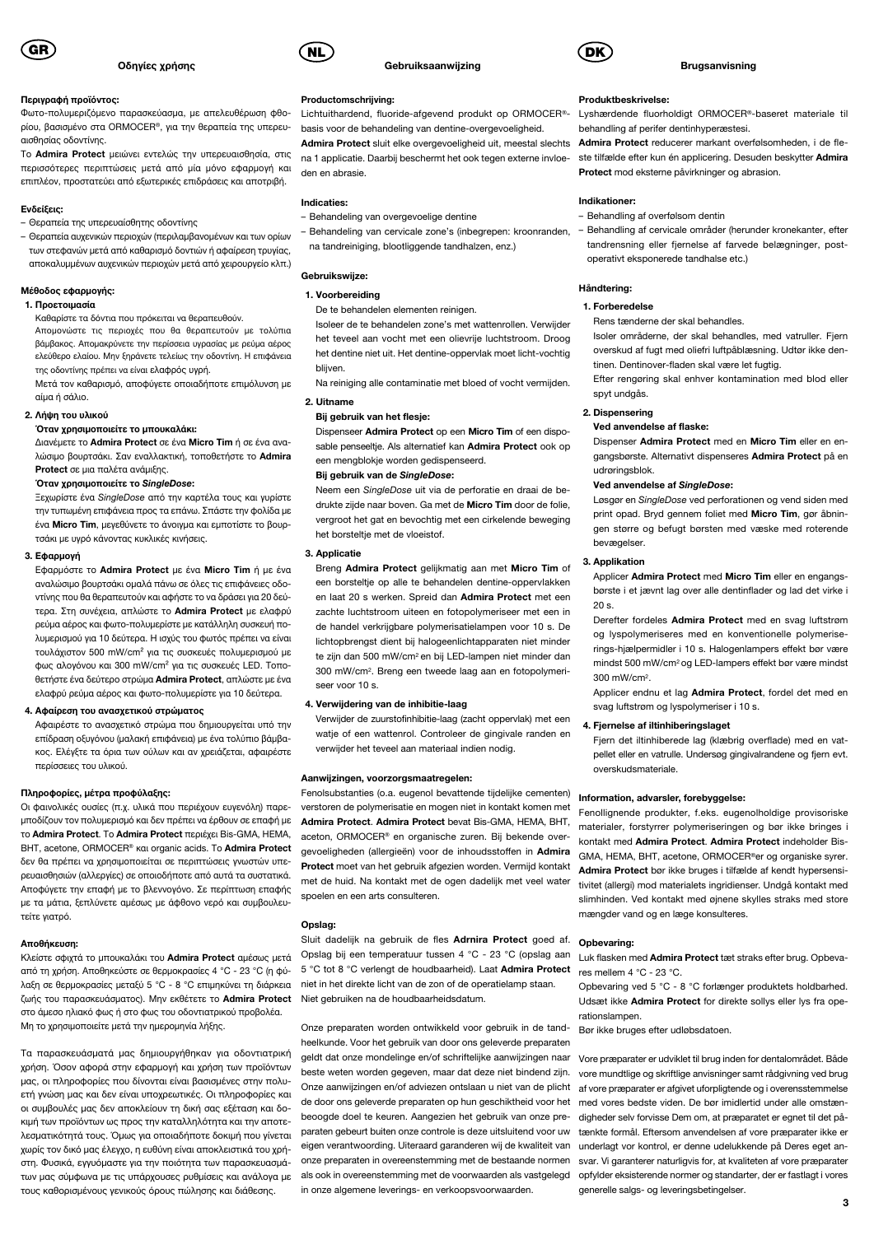

### Περιγραφή προϊόντος:

Φωτο-πολυμεριζόμενο παρασκεύασμα, με απελευθέρωση φθορίου, βασισμένο στα ORMOCER®, για την θεραπεία της υπερευαισθησίας οδοντίνης.

Το Admira Protect μειώνει εντελώς την υπερευαισθησία, στις περισσότερες περιπτώσεις μετά από μία μόνο εφαρμογή και επιπλέον, προστατεύει από εξωτερικές επιδράσεις και αποτριβή.

#### Ενδείξεις:

- Θεραπεία της υπερευαίσθητης οδοντίνης
- Θεραπεία αυχενικών περιοχών (περιλαμβανομένων και των ορίων των στεφανών μετά από καθαρισμό δοντιών ή αφαίρεση τρυγίας, αποκαλυμμένων αυχενικών περιοχών μετά από χειρουργείο κλπ.)

#### Μέθοδος εφαρμογής:

### 1. Προετοιμασία

Καθαρίστε τα δόντια που πρόκειται να θεραπευθούν. Απομονώστε τις περιοχές που θα θεραπευτούν με τολύπια βάμβακος. Απομακρύνετε την περίσσεια υγρασίας με ρεύμα αέρος ελεύθερο ελαίου. Μην ξηράνετε τελείως την οδοντίνη. Η επιφάνεια της οδοντίνης πρέπει να είναι ελαφρός υγρή.

Μετά τον καθαρισμό, αποφύγετε οποιαδήποτε επιμόλυνση με αίμα ή σάλιο.

### 2. Λήψη του υλικού

### Όταν χρησιμοποιείτε το μπουκαλάκι:

Διανέμετε το Admira Protect σε ένα Micro Tim ή σε ένα αναλώσιμο βουρτσάκι. Σαν εναλλακτική, τοποθετήστε το Admira Protect σε μια παλέτα ανάμιξης.

#### Όταν χρησιμοποιείτε το SingleDose:

Ξεχωρίστε ένα SingleDose από την καρτέλα τους και γυρίστε την τυπωμένη επιφάνεια προς τα επάνω. Σπάστε την φολίδα με ένα Micro Tim, μεγεθύνετε το άνοιγμα και εμποτίστε το βουρτσάκι με υγρό κάνοντας κυκλικές κινήσεις.

### 3. Εφαρμογή

Εφαρμόστε το Admira Protect με ένα Micro Tim ή με ένα αναλώσιμο βουρτσάκι ομαλά πάνω σε όλες τις επιφάνειες οδοντίνης που θα θεραπευτούν και αφήστε το να δράσει για 20 δεύτερα. Στη συνέχεια, απλώστε το Admira Protect με ελαφρύ ρεύμα αέρος και φωτο-πολυμερίστε με κατάλληλη συσκευή πολυμερισμού για 10 δεύτερα. Η ισχύς του φωτός πρέπει να είναι τουλάχιστον 500 mW/cm² για τις συσκευές πολυμερισμού με φως αλογόνου και 300 mW/cm² για τις συσκευές LED. Τοποθετήστε ένα δεύτερο στρώμα Admira Protect, απλώστε με ένα ελαφρύ ρεύμα αέρος και φωτο-πολυμερίστε για 10 δεύτερα.

### 4. Αφαίρεση του ανασχετικού στρώματος

Αφαιρέστε το ανασχετικό στρώμα που δημιουργείται υπό την επίδραση οξυγόνου (μαλακή επιφάνεια) με ένα τολύπιο βάμβακος. Ελέγξτε τα όρια των ούλων και αν χρειάζεται, αφαιρέστε περίσσειες του υλικού.

### Πληροφορίες, μέτρα προφύλαξης:

Οι φαινολικές ουσίες (π.χ. υλικά που περιέχουν ευγενόλη) παρεμποδίζουν τον πολυμερισμό και δεν πρέπει να έρθουν σε επαφή με το Admira Protect. To Admira Protect περιέχει Bis-GMA, HEMA, BHT, acetone, ORMOCER® και organic acids. Το Admira Protect δεν θα πρέπει να χρησιμοποιείται σε περιπτώσεις γνωστών υπερευαισθησιών (αλλεργίες) σε οποιοδήποτε από αυτά τα συστατικά. Αποφύγετε την επαφή με το βλεννογόνο. Σε περίπτωση επαφής με τα μάτια, ξεπλύνετε αμέσως με άφθονο νερό και συμβουλευτείτε γιατρό.

#### Αποθήκευση:

Κλείστε σφιχτά το μπουκαλάκι του Admira Protect αμέσως μετά από τη χρήση. Αποθηκεύστε σε θερμοκρασίες 4 °C - 23 °C (η φύλαξη σε θερμοκρασίες μεταξύ 5 °C - 8 °C επιμηκύνει τη διάρκεια ζωής του παρασκευάσματος). Μην εκθέτετε το Admira Protect στο άμεσο ηλιακό φως ή στο φως του οδοντιατρικού προβολέα. Μη το χρησιμοποιείτε μετά την ημερομηνία λήξης.

Τα παρασκευάσματά μας δημιουργήθηκαν για οδοντιατρική χρήση. Όσον αφορά στην εφαρμογή και χρήση των προϊόντων μας, οι πληροφορίες που δίνονται είναι βασισμένες στην πολυετή γνώση μας και δεν είναι υποχρεωτικές. Οι πληροφορίες και οι συμβουλές μας δεν αποκλείουν τη δική σας εξέταση και δοκιμή των προϊόντων ως προς την καταλληλότητα και την αποτελεσματικότητά τους. Όμως για οποιαδήποτε δοκιμή που γίνεται χωρίς τον δικό μας έλεγχο, η ευθύνη είναι αποκλειστικά του χρήστη. Φυσικά, εγγυόμαστε για την ποιότητα των παρασκευασμάτων μας σύμφωνα με τις υπάρχουσες ρυθμίσεις και ανάλογα με τους καθορισμένους γενικούς όρους πώλησης και διάθεσης.



#### Productomschrijving:

Lichtuithardend, fluoride-afgevend produkt op ORMOCER® basis voor de behandeling van dentine-overgevoeligheid.

**Gebruiksaanwiizing** 

Admira Protect sluit elke overgevoeligheid uit, meestal slechts na 1 applicatie. Daarbij beschermt het ook tegen externe invloeden en abrasie.

### Indicaties:

- Behandeling van overgevoelige dentine
- Behandeling van cervicale zone's (inbegrepen: kroonranden, na tandreiniging, blootliggende tandhalzen, enz.)

### Gebruikswijze:

### 1. Voorbereiding

De te behandelen elementen reinigen.

Isoleer de te behandelen zone's met wattenrollen. Verwijder het teveel aan vocht met een olievrije luchtstroom. Droog het dentine niet uit. Het dentine-oppervlak moet licht-vochtig blijven.

Na reiniging alle contaminatie met bloed of vocht vermijden. 2. Uitname

## Bij gebruik van het flesje:

Dispenseer Admira Protect op een Micro Tim of een disposable penseeltie. Als alternatief kan Admira Protect ook op een mengblokje worden gedispenseerd.

#### Bij gebruik van de SingleDose:

Neem een SingleDose uit via de perforatie en draai de bedrukte zijde naar boven. Ga met de Micro Tim door de folie, vergroot het gat en bevochtig met een cirkelende beweging het borsteltje met de vloeistof.

### 3. Applicatie

Breng Admira Protect gelijkmatig aan met Micro Tim of een borsteltje op alle te behandelen dentine-oppervlakken en laat 20 s werken. Spreid dan Admira Protect met een zachte luchtstroom uiteen en fotopolymeriseer met een in de handel verkrijgbare polymerisatielampen voor 10 s. De lichtopbrengst dient bij halogeenlichtapparaten niet minder te zijn dan 500 mW/cm2 en bij LED-lampen niet minder dan 300 mW/cm2. Breng een tweede laag aan en fotopolymeriseer voor 10 s.

### 4. Verwijdering van de inhibitie-laag

Verwijder de zuurstofinhibitie-laag (zacht oppervlak) met een watie of een wattenrol. Controleer de gingivale randen en verwijder het teveel aan materiaal indien nodig.

### Aanwijzingen, voorzorgsmaatregelen:

Fenolsubstanties (o.a. eugenol bevattende tijdelijke cementen) verstoren de polymerisatie en mogen niet in kontakt komen met Admira Protect. Admira Protect bevat Bis-GMA, HEMA, BHT, aceton, ORMOCER® en organische zuren. Bij bekende overgevoeligheden (allergieën) voor de inhoudsstoffen in Admira Protect moet van het gebruik afgezien worden. Vermijd kontakt met de huid. Na kontakt met de ogen dadelijk met veel water spoelen en een arts consulteren.

### Opslag:

Sluit dadelijk na gebruik de fles Adrnira Protect goed af. Opbevaring: Opslag bij een temperatuur tussen 4 °C - 23 °C (opslag aan Luk flasken med Admira Protect tæt straks efter brug. Opbeva-5 °C tot 8 °C verlengt de houdbaarheid). Laat Admira Protect res mellem 4 °C - 23 °C. niet in het direkte licht van de zon of de operatielamp staan. Niet gebruiken na de houdbaarheidsdatum.

Onze preparaten worden ontwikkeld voor gebruik in de tandheelkunde. Voor het gebruik van door ons geleverde preparaten geldt dat onze mondelinge en/of schriftelijke aanwijzingen naar Vore præparater er udviklet til brug inden for dentalområdet. Både beste weten worden gegeven, maar dat deze niet bindend zijn. Onze aanwijzingen en/of adviezen ontslaan u niet van de plicht de door ons geleverde preparaten op hun geschiktheid voor het beoogde doel te keuren. Aangezien het gebruik van onze preparaten gebeurt buiten onze controle is deze uitsluitend voor uw eigen verantwoording. Uiteraard garanderen wij de kwaliteit van onze preparaten in overeenstemming met de bestaande normen als ook in overeenstemming met de voorwaarden als vastgelegd in onze algemene leverings- en verkoopsvoorwaarden.



#### **Brugsanvisning**

#### Produktbeskrivelse:

Lyshærdende fluorholdigt ORMOCER®-baseret materiale til behandling af perifer dentinhyperæstesi.

Admira Protect reducerer markant overfølsomheden, i de fleste tilfælde efter kun én applicering. Desuden beskytter Admira Protect mod eksterne påvirkninger og abrasion.

### Indikationer:

– Behandling af overfølsom dentin

– Behandling af cervicale områder (herunder kronekanter, efter tandrensning eller fjernelse af farvede belægninger, postoperativt eksponerede tandhalse etc.)

#### Håndtering:

### 1. Forberedelse

Rens tænderne der skal behandles.

Isoler områderne, der skal behandles, med vatruller. Fjern overskud af fugt med oliefri luftpåblæsning. Udtør ikke dentinen. Dentinover-fladen skal være let fugtig.

Efter rengøring skal enhver kontamination med blod eller spyt undgås.

### 2. Dispensering

#### Ved anvendelse af flaske:

Dispenser Admira Protect med en Micro Tim eller en engangsbørste. Alternativt dispenseres Admira Protect på en udrøringsblok.

### Ved anvendelse af SingleDose:

Løsgør en SingleDose ved perforationen og vend siden med print opad. Bryd gennem foliet med Micro Tim, gør åbningen større og befugt børsten med væske med roterende bevægelser.

### 3. Applikation

Applicer Admira Protect med Micro Tim eller en engangsbørste i et jævnt lag over alle dentinflader og lad det virke i 20 s.

Derefter fordeles Admira Protect med en svag luftstrøm og lyspolymeriseres med en konventionelle polymeriserings-hjælpermidler i 10 s. Halogenlampers effekt bør være mindst 500 mW/cm2 og LED-lampers effekt bør være mindst 300 mW/cm2.

Applicer endnu et lag Admira Protect, fordel det med en svag luftstrøm og lyspolymeriser i 10 s.

#### 4. Fiernelse af iltinhiberingslaget

Fjern det iltinhiberede lag (klæbrig overflade) med en vatpellet eller en vatrulle. Undersøg gingivalrandene og fjern evt. overskudsmateriale.

#### Information, advarsler, forebyggelse:

Fenollignende produkter, f.eks. eugenolholdige provisoriske materialer, forstyrrer polymeriseringen og bør ikke bringes i kontakt med Admira Protect. Admira Protect indeholder Bis-GMA, HEMA, BHT, acetone, ORMOCER®er og organiske syrer. Admira Protect bør ikke bruges i tilfælde af kendt hypersensitivitet (allergi) mod materialets ingridienser. Undgå kontakt med slimhinden. Ved kontakt med øjnene skylles straks med store mængder vand og en læge konsulteres.

Opbevaring ved 5 °C - 8 °C forlænger produktets holdbarhed. Udsæt ikke Admira Protect for direkte sollys eller lys fra operationslampen.

Bør ikke bruges efter udløbsdatoen.

vore mundtlige og skriftlige anvisninger samt rådgivning ved brug af vore præparater er afgivet uforpligtende og i overensstemmelse med vores bedste viden. De bør imidlertid under alle omstændigheder selv forvisse Dem om, at præparatet er egnet til det påtænkte formål. Eftersom anvendelsen af vore præparater ikke er underlagt vor kontrol, er denne udelukkende på Deres eget ansvar. Vi garanterer naturligvis for, at kvaliteten af vore præparater opfylder eksisterende normer og standarter, der er fastlagt i vores generelle salgs- og leveringsbetingelser.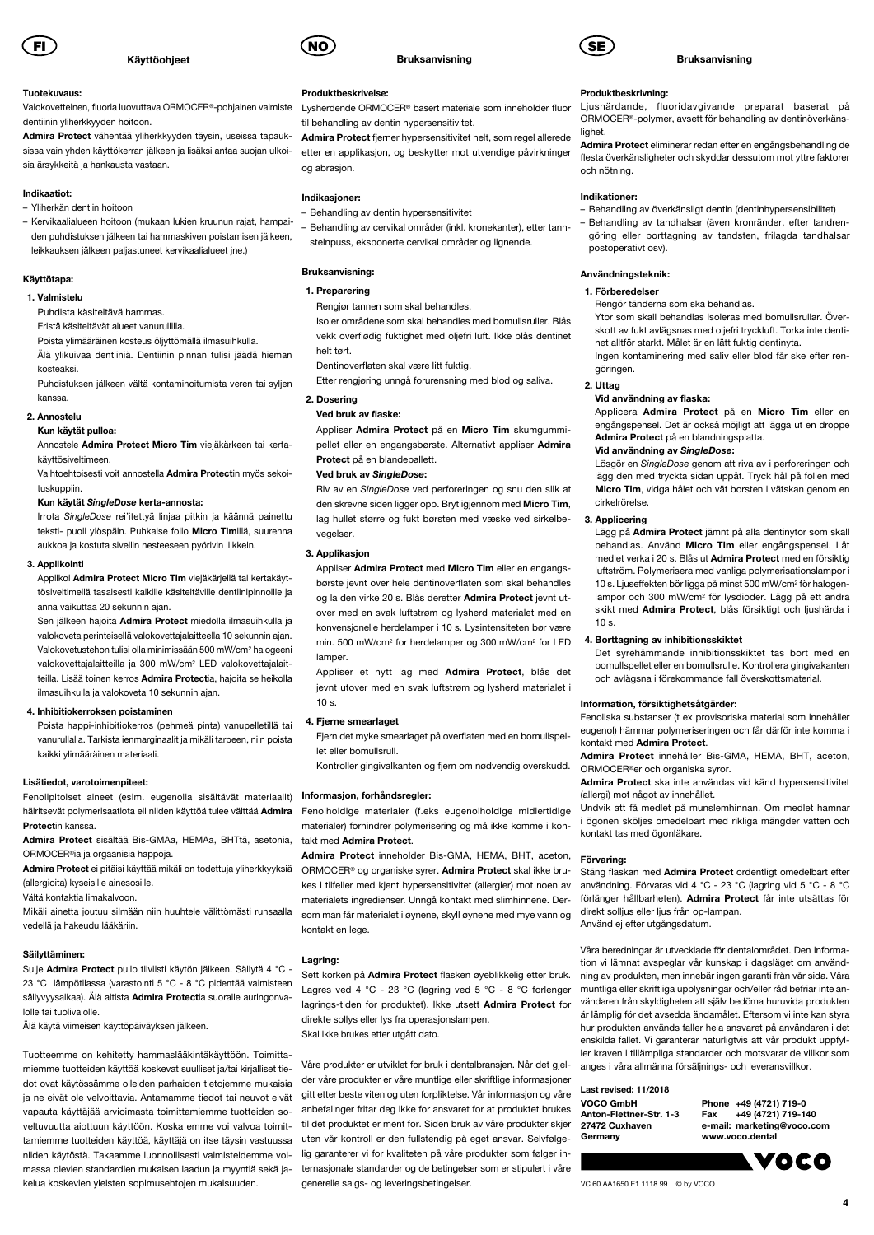

### Käyttöohjeet

### Tuotekuvaus:

Valokovetteinen, fluoria luovuttava ORMOCER®-pohjainen valmiste dentiinin yliherkkyyden hoitoon.

Admira Protect vähentää yliherkkyyden täysin, useissa tapauksissa vain yhden käyttökerran jälkeen ja lisäksi antaa suojan ulkoisia ärsykkeitä ja hankausta vastaan.

#### Indikaatiot:

- Yliherkän dentiin hoitoon
- Kervikaalialueen hoitoon (mukaan lukien kruunun rajat, hampaiden puhdistuksen jälkeen tai hammaskiven poistamisen jälkeen, leikkauksen jälkeen paljastuneet kervikaalialueet jne.)

### Käyttötapa:

#### 1. Valmistelu

Puhdista käsiteltävä hammas.

Eristä käsiteltävät alueet vanurullilla.

Poista ylimääräinen kosteus öljyttömällä ilmasuihkulla. Älä ylikuivaa dentiiniä. Dentiinin pinnan tulisi jäädä hieman

kosteaksi. Puhdistuksen jälkeen vältä kontaminoitumista veren tai syljen

kanssa. 2. Annostelu

Kun käytät pulloa:

Annostele Admira Protect Micro Tim viejäkärkeen tai kertakäyttösiveltimeen.

Vaihtoehtoisesti voit annostella Admira Protectin myös sekoituskuppiin.

### Kun käytät SingleDose kerta-annosta:

Irrota SingleDose rei'itettyä linjaa pitkin ja käännä painettu teksti- puoli ylöspäin. Puhkaise folio Micro Timillä, suurenna aukkoa ja kostuta sivellin nesteeseen pyörivin liikkein.

### 3. Applikointi

Applikoi Admira Protect Micro Tim viejäkärjellä tai kertakäyttösiveltimellä tasaisesti kaikille käsiteltäville dentiinipinnoille ja anna vaikuttaa 20 sekunnin ajan.

Sen jälkeen hajoita Admira Protect miedolla ilmasuihkulla ja valokoveta perinteisellä valokovettajalaitteella 10 sekunnin ajan. Valokovetustehon tulisi olla minimissään 500 mW/cm2 halogeeni valokovettajalaitteilla ja 300 mW/cm2 LED valokovettajalaitteilla. Lisää toinen kerros Admira Protectia, hajoita se heikolla ilmasuihkulla ja valokoveta 10 sekunnin ajan.

### 4. Inhibitiokerroksen poistaminen

Poista happi-inhibitiokerros (pehmeä pinta) vanupelletillä tai vanurullalla. Tarkista ienmarginaalit ja mikäli tarpeen, niin poista kaikki ylimääräinen materiaali.

### Lisätiedot, varotoimenpiteet:

Fenolipitoiset aineet (esim. eugenolia sisältävät materiaalit) Informasjon, forhåndsregler: häiritsevät polymerisaatiota eli niiden käyttöä tulee välttää Admira Protectin kanssa.

Admira Protect sisältää Bis-GMAa, HEMAa, BHTtä, asetonia, ORMOCER®ia ja orgaanisia happoja.

Admira Protect ei pitäisi käyttää mikäli on todettuja yliherkkyyksiä (allergioita) kyseisille ainesosille.

Vältä kontaktia limakalvoon.

Mikäli ainetta joutuu silmään niin huuhtele välittömästi runsaalla vedellä ja hakeudu lääkäriin.

### Säilyttäminen:

Sulje Admira Protect pullo tiiviisti käytön jälkeen. Säilytä 4 °C - 23 °C lämpötilassa (varastointi 5 °C - 8 °C pidentää valmisteen säilyyyysaikaa). Älä altista Admira Protectia suoralle auringonyalolle tai tuolivalolle.

Älä käytä viimeisen käyttöpäiväyksen jälkeen.

Tuotteemme on kehitetty hammaslääkintäkäyttöön. Toimittamiemme tuotteiden käyttöä koskevat suulliset ja/tai kirjalliset tiedot ovat käytössämme olleiden parhaiden tietojemme mukaisia ja ne eivät ole velvoittavia. Antamamme tiedot tai neuvot eivät vapauta käyttäjää arvioimasta toimittamiemme tuotteiden soveltuvuutta aiottuun käyttöön. Koska emme voi valvoa toimittamiemme tuotteiden käyttöä, käyttäjä on itse täysin vastuussa niiden käytöstä. Takaamme luonnollisesti valmisteidemme voimassa olevien standardien mukaisen laadun ja myyntiä sekä jakelua koskevien yleisten sopimusehtojen mukaisuuden.



### Bruksanvisning

### Produktbeskrivelse:

Lysherdende ORMOCER® basert materiale som inneholder fluor til behandling av dentin hypersensitivitet.

Admira Protect fjerner hypersensitivitet helt, som regel allerede etter en applikasjon, og beskytter mot utvendige påvirkninger og abrasjon.

### Indikasjoner:

- Behandling av dentin hypersensitivitet
- Behandling av cervikal områder (inkl. kronekanter), etter tannsteinpuss, eksponerte cervikal områder og lignende.

### Bruksanvisning:

### 1. Preparering

Rengjør tannen som skal behandles.

Isoler områdene som skal behandles med bomullsruller. Blås vekk overflødig fuktighet med oljefri luft. Ikke blås dentinet helt tørt.

Dentinoverflaten skal være litt fuktig.

Etter rengjøring unngå forurensning med blod og saliva. 2. Dosering

### Ved bruk av flaske:

Appliser Admira Protect på en Micro Tim skumgummipellet eller en engangsbørste. Alternativt appliser Admira Protect på en blandepallett.

#### Ved bruk av SingleDose:

Riv av en SingleDose ved perforeringen og snu den slik at den skrevne siden ligger opp. Bryt igjennom med Micro Tim, lag hullet større og fukt børsten med væske ved sirkelbevegelser.

### 3. Applikasjon

Appliser Admira Protect med Micro Tim eller en engangsbørste jevnt over hele dentinoverflaten som skal behandles og la den virke 20 s. Blås deretter Admira Protect jevnt utover med en svak luftstrøm og lysherd materialet med en konvensjonelle herdelamper i 10 s. Lysintensiteten bør være min. 500 mW/cm2 for herdelamper og 300 mW/cm2 for LED lamper

Appliser et nytt lag med Admira Protect, blås det jevnt utover med en svak luftstrøm og lysherd materialet i  $10<sub>s</sub>$ 

### 4. Fjerne smearlaget

Fjern det myke smearlaget på overflaten med en bomullspellet eller bomullsrull.

Kontroller gingivalkanten og fjern om nødvendig overskudd.

Fenolholdige materialer (f.eks eugenolholdige midlertidige materialer) forhindrer polymerisering og må ikke komme i kontakt med Admira Protect.

Admira Protect inneholder Bis-GMA, HEMA, BHT, aceton, ORMOCER® og organiske syrer. Admira Protect skal ikke brukes i tilfeller med kjent hypersensitivitet (allergier) mot noen av materialets ingredienser. Unngå kontakt med slimhinnene. Dersom man får materialet i øynene, skyll øynene med mye vann og kontakt en lege.

#### Lagring:

Sett korken på Admira Protect flasken øyeblikkelig etter bruk. Lagres ved 4 °C - 23 °C (lagring ved 5 °C - 8 °C forlenger lagrings-tiden for produktet). Ikke utsett Admira Protect for direkte sollys eller lys fra operasjonslampen. Skal ikke brukes etter utgått dato.

Våre produkter er utviklet for bruk i dentalbransjen. Når det gjelder våre produkter er våre muntlige eller skriftlige informasjoner gitt etter beste viten og uten forpliktelse. Vår informasjon og våre anbefalinger fritar deg ikke for ansvaret for at produktet brukes til det produktet er ment for. Siden bruk av våre produkter skjer uten vår kontroll er den fullstendig på eget ansvar. Selvfølgelig garanterer vi for kvaliteten på våre produkter som følger internasjonale standarder og de betingelser som er stipulert i våre generelle salgs- og leveringsbetingelser.



### Bruksanvisning

## Produktbeskrivning:

Ljushärdande, fluoridavgivande preparat baserat på ORMOCER®-polymer, avsett för behandling av dentinöverkänslighet.

Admira Protect eliminerar redan efter en engångsbehandling de flesta överkänsligheter och skyddar dessutom mot yttre faktorer och nötning.

### Indikationer:

- Behandling av överkänsligt dentin (dentinhypersensibilitet)
- Behandling av tandhalsar (även kronränder, efter tandrengöring eller borttagning av tandsten, frilagda tandhalsar postoperativt osv).

#### Användningsteknik:

#### 1. Förberedelser

Rengör tänderna som ska behandlas.

Ytor som skall behandlas isoleras med bomullsrullar. Överskott av fukt avlägsnas med oljefri tryckluft. Torka inte dentinet alltför starkt. Målet är en lätt fuktig dentinyta.

Ingen kontaminering med saliv eller blod får ske efter rengöringen.

#### 2. Uttag

#### Vid användning av flaska:

Applicera Admira Protect på en Micro Tim eller en engångspensel. Det är också möjligt att lägga ut en droppe Admira Protect på en blandningsplatta.

#### Vid användning av SingleDose:

Lösgör en SingleDose genom att riva av i perforeringen och lägg den med tryckta sidan uppåt. Tryck hål på folien med Micro Tim, vidga hålet och vät borsten i vätskan genom en cirkelrörelse.

### 3. Applicering

Lägg på Admira Protect jämnt på alla dentinytor som skall behandlas. Använd Micro Tim eller engångspensel. Låt medlet verka i 20 s. Blås ut Admira Protect med en försiktig luftström. Polymerisera med vanliga polymerisationslampor i 10 s. Ljuseffekten bör ligga på minst 500 mW/cm2 för halogenlampor och 300 mW/cm2 för lysdioder. Lägg på ett andra skikt med Admira Protect, blås försiktigt och ljushärda i  $10<sub>s</sub>$ 

### 4. Borttagning av inhibitionsskiktet

Det syrehämmande inhibitionsskiktet tas bort med en bomullspellet eller en bomullsrulle. Kontrollera gingivakanten och avlägsna i förekommande fall överskottsmaterial.

#### Information, försiktighetsåtgärder:

Fenoliska substanser (t ex provisoriska material som innehåller eugenol) hämmar polymeriseringen och får därför inte komma i kontakt med Admira Protect.

Admira Protect innehåller Bis-GMA, HEMA, BHT, aceton, ORMOCER®er och organiska syror.

Admira Protect ska inte användas vid känd hypersensitivitet (allergi) mot något av innehållet.

Undvik att få medlet på munslemhinnan. Om medlet hamnar i ögonen sköljes omedelbart med rikliga mängder vatten och kontakt tas med ögonläkare.

### Förvaring:

Stäng flaskan med Admira Protect ordentligt omedelbart efter användning. Förvaras vid 4 °C - 23 °C (lagring vid 5 °C - 8 °C förlänger hållbarheten). Admira Protect får inte utsättas för direkt solljus eller ljus från op-lampan.

Använd ej efter utgångsdatum.

Våra beredningar är utvecklade för dentalområdet. Den information vi lämnat avspeglar vår kunskap i dagsläget om användning av produkten, men innebär ingen garanti från vår sida. Våra muntliga eller skriftliga upplysningar och/eller råd befriar inte användaren från skyldigheten att själv bedöma huruvida produkten är lämplig för det avsedda ändamålet. Eftersom vi inte kan styra hur produkten används faller hela ansvaret på användaren i det enskilda fallet. Vi garanterar naturligtvis att vår produkt uppfyller kraven i tillämpliga standarder och motsvarar de villkor som anges i våra allmänna försäljnings- och leveransvillkor.

> Phone +49 (4721) 719-0 Fax +49 (4721) 719-140 e-mail: marketing@voco.com www.voco.dental

> > **Lyoco**

4

## Last revised: 11/2018

| VOCO GmbH               |
|-------------------------|
| Anton-Flettner-Str. 1-3 |
| 27472 Cuxhaven          |
| Germany                 |

VC 60 AA1650 E1 1118 99 © by VOCO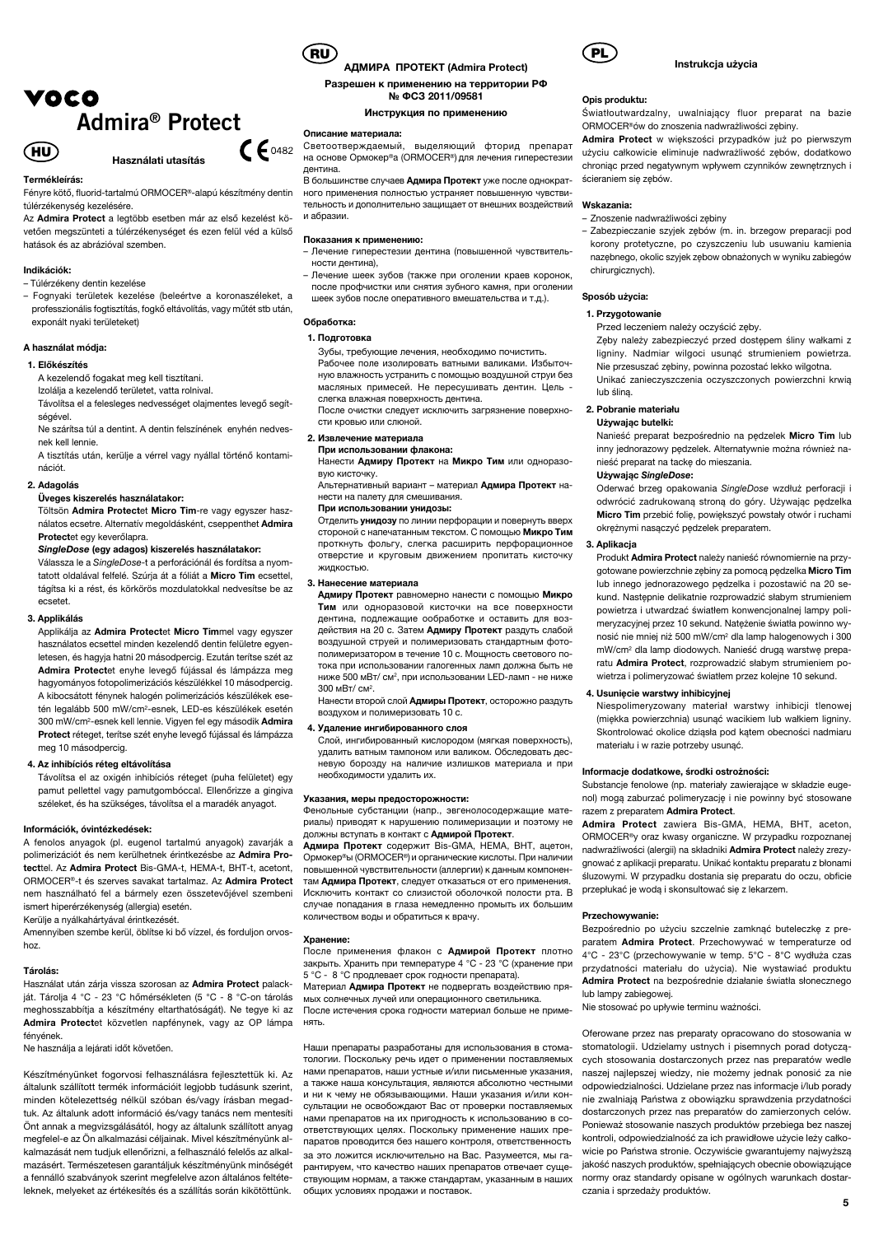# VOCO Admira® Protect



#### Termékleírás:

Fényre kötő, fluorid-tartalmú ORMOCER®-alapú készítmény dentin túlérzékenység kezelésére.

Az Admira Protect a legtöbb esetben már az első kezelést követően megszünteti a túlérzékenységet és ezen felül véd a külső hatások és az abrázióval szemben.

Használati utasítás

#### Indikációk:

– Túlérzékeny dentin kezelése

– Fognyaki területek kezelése (beleértve a koronaszéleket, a professzionális fogtisztítás, fogkő eltávolítás, vagy műtét stb után, exponált nyaki területeket)

### A használat módja:

### 1. Előkészítés

A kezelendő fogakat meg kell tisztítani.

Izolálja a kezelendő területet, vatta rolnival. Távolítsa el a felesleges nedvességet olajmentes levegő segít-

ségével. Ne szárítsa túl a dentint. A dentin felszínének enyhén nedves-

nek kell lennie. A tisztítás után, kerülje a vérrel vagy nyállal történő kontaminációt.

## 2. Adagolás

### Üveges kiszerelés használatakor:

Töltsön Admira Protectet Micro Tim-re vagy egyszer használatos ecsetre. Alternatív megoldásként, cseppenthet Admira Protectet egy keverőlapra.

### SingleDose (egy adagos) kiszerelés használatakor:

Válassza le a SingleDose-t a perforációnál és fordítsa a nyomtatott oldalával felfelé. Szúrja át a fóliát a Micro Tim ecsettel, tágítsa ki a rést, és körkörös mozdulatokkal nedvesítse be az ecsetet.

#### 3. Applikálás

Applikálja az Admira Protectet Micro Timmel vagy egyszer használatos ecsettel minden kezelendő dentin felületre egyenletesen, és hagyja hatni 20 másodpercig. Ezután terítse szét az Admira Protectet enyhe levegő fújással és lámpázza meg hagyományos fotopolimerizációs készülékkel 10 másodpercig. A kibocsátott fénynek halogén polimerizációs készülékek esetén legalább 500 mW/cm2-esnek, LED-es készülékek esetén 300 mW/cm2-esnek kell lennie. Vigyen fel egy második Admira Protect réteget, terítse szét enyhe levegő fújással és lámpázza meg 10 másodpercig.

### 4. Az inhibíciós réteg eltávolítása

Távolítsa el az oxigén inhibíciós réteget (puha felületet) egy pamut pellettel vagy pamutgombóccal. Ellenőrizze a gingiva széleket, és ha szükséges, távolítsa el a maradék anyagot.

#### Információk, óvintézkedések:

A fenolos anyagok (pl. eugenol tartalmú anyagok) zavarják a polimerizációt és nem kerülhetnek érintkezésbe az Admira Protecttel. Az Admira Protect Bis-GMA-t, HEMA-t, BHT-t, acetont, ORMOCER®-t és szerves savakat tartalmaz. Az Admira Protect nem használható fel a bármely ezen összetevőjével szembeni ismert hiperérzékenység (allergia) esetén.

Kerülje a nyálkahártyával érintkezését.

Amennyiben szembe kerül, öblítse ki bő vízzel, és forduljon orvoshoz.

#### Tárolás:

Használat után zárja vissza szorosan az Admira Protect palackját. Tárolja 4 °C - 23 °C hőmérsékleten (5 °C - 8 °C-on tárolás meghosszabbítja a készítmény eltarthatóságát). Ne tegye ki az Admira Protectet közvetlen napfénynek, vagy az OP lámpa fényének.

Ne használja a lejárati időt követően.

Készítményünket fogorvosi felhasználásra fejlesztettük ki. Az általunk szállított termék információit legjobb tudásunk szerint, minden kötelezettség nélkül szóban és/vagy írásban megadtuk. Az általunk adott információ és/vagy tanács nem mentesíti Önt annak a megvizsgálásától, hogy az általunk szállított anyag megfelel-e az Ön alkalmazási céljainak. Mivel készítményünk alkalmazását nem tudjuk ellenőrizni, a felhasználó felelős az alkalmazásért. Természetesen garantáljuk készítményünk minőségét a fennálló szabványok szerint megfelelve azon általános feltételeknek, melyeket az értékesítés és a szállítás során kikötöttünk.



 $C6482$ 

# RU)<br>АДМИРА ПРОТЕКТ (Admira Protect)

Разрешен к применению на территории РФ № ФСЗ 2011/09581

Инструкция по применению

### Описание материала:

Светоотверждаемый, выделяющий фторид препарат на основе Oрмокер®а (ORMOCER®) для лечения гиперестезии дентина.

В большинстве случаев Адмира Протект уже после однократного применения полностью устраняет повышенную чувствительность и дополнительно защищает от внешних воздействий и абразии.

### Показания к применению:

- Лечение гиперестезии дентина (повышенной чувствительности дентина),
- Лечение шеек зубов (также при оголении краев коронок, после профчистки или снятия зубного камня, при оголении шеек зубов после оперативного вмешательства и т.д.).
- 

### Обработка: 1. Подготовка

Зубы, требующие лечения, необходимо почистить.

Рабочее поле изолировать ватными валиками. Избыточную влажность устранить с помощью воздушной струи без масляных примесей. Не пересушивать дентин. Цель слегка влажная поверхность дентина.

После очистки следует исключить загрязнение поверхности кровью или слюной.

### 2. Извлечение материала

При использовании флакона:

Нанести Адмиру Протект на Микро Тим или одноразовую кисточку.

Альтернативный вариант – материал Адмира Протект нанести на палету для смешивания.

## При использовании унидозы:

Отделить унидозу по линии перфорации и повернуть вверх стороной с напечатанным текстом. С помощью Микро Тим проткнуть фольгу, слегка расширить перфорационное отверстие и круговым движением пропитать кисточку жидкостью.

### 3. Нанесение материала

Адмиру Протект равномерно нанести с помощью Микро Тим или одноразовой кисточки на все поверхности дентина, подлежащие ообработке и оставить для воздействия на 20 с. Затем Адмиру Протект раздуть слабой воздушной струей и полимеризовать стандартным фотополимеризатором в течение 10 с. Мощность светового потока при использовании галогенных ламп должна быть не ниже 500 мВт/ см<sup>2</sup>, при использовании LED-ламп - не ниже 300 мВт/ см<sup>2</sup>.

Нанести второй слой Адмиры Протект, осторожно раздуть воздухом и полимеризовать 10 с.

### 4. Удаление ингибированного слоя

Слой, ингибированный кислородом (мягкая поверхность), удалить ватным тампоном или валиком. Обследовать десневую борозду на наличие излишков материала и при необходимости удалить их.

#### Указания, меры предосторожности:

Фенольные субстанции (напр., эвгенолосодержащие материалы) приводят к нарушению полимеризации и поэтому не должны вступать в контакт с Адмирой Протект.

Адмира Протект содержит Bis-GMA, HEMA, BHT, ацетон, Oрмокер®ы (ORMOCER®)и органические кислоты. При наличии повышенной чувствительности (аллергии) к данным компонентам Адмира Протект, следует отказаться от его применения. Исключить контакт со слизистой оболочкой полости рта. В случае попадания в глаза немедленно промыть их большим количеством воды и обратиться к врачу.

#### Хранение:

После применения флакон с Адмирой Протект плотно закрыть. Хранить при температуре 4 °С - 23 °С (хранение при 5 °С - 8 °С продлевает срок годности препарата).

Материал Адмира Протект не подвергать воздействию прямых солнечных лучей или операционного светильника.

После истечения срока годности материал больше не применять.

Наши препараты разработаны для использования в стоматологии. Поскольку речь идет о применении поставляемых нами препаратов, наши устные и/или письменные указания, а также наша консультация, являются абсолютно честными и ни к чему не обязывающими. Наши указания и/или консультации не освобождают Вас от проверки поставляемых нами препаратов на их пригодность к использованию в соответствующих целях. Поскольку применение наших препаратов проводится без нашего контроля, ответственность за это ложится исключительно на Вас. Разумеется, мы гарантируем, что качество наших препаратов отвечает существующим нормам, а также стандартам, указанным в наших общих условиях продажи и поставок.



#### Instrukcja użycia

#### Opis produktu:

Światłoutwardzalny, uwalniający fluor preparat na bazie ORMOCER®ów do znoszenia nadwrażliwości zębiny.

Admira Protect w większości przypadków już po pierwszym użyciu całkowicie eliminuje nadwrażliwość zębów, dodatkowo chroniąc przed negatywnym wpływem czynników zewnętrznych i ścieraniem się zębów.

### Wskazania:

– Znoszenie nadwrażliwości zębiny

– Zabezpieczanie szyjek zębów (m. in. brzegow preparacji pod korony protetyczne, po czyszczeniu lub usuwaniu kamienia nazębnego, okolic szyjek zębow obnażonych w wyniku zabiegów chirurgicznych).

### Sposób użycia:

#### 1. Przygotowanie

Przed leczeniem należy oczyścić zęby.

Zęby należy zabezpieczyć przed dostępem śliny wałkami z ligniny. Nadmiar wilgoci usunąć strumieniem powietrza. Nie przesuszać zębiny, powinna pozostać lekko wilgotna. Unikać zanieczyszczenia oczyszczonych powierzchni krwią lub śliną.

#### 2. Pobranie materiału

Używając butelki:

Nanieść preparat bezpośrednio na pędzelek Micro Tim lub inny jednorazowy pędzelek. Alternatywnie można również nanieść preparat na tackę do mieszania.

#### Używając SingleDose:

Oderwać brzeg opakowania SingleDose wzdłuż perforacji i odwrócić zadrukowaną stroną do góry. Używając pędzelka Micro Tim przebić folię, powiększyć powstały otwór i ruchami okrężnymi nasączyć pędzelek preparatem.

### 3. Aplikacja

Produkt Admira Protect należy nanieść równomiernie na przygotowane powierzchnie zębiny za pomocą pędzelka Micro Tim lub innego jednorazowego pędzelka i pozostawić na 20 sekund. Następnie delikatnie rozprowadzić słabym strumieniem powietrza i utwardzać światłem konwencjonalnej lampy polimeryzacyjnej przez 10 sekund. Natężenie światła powinno wynosić nie mniej niż 500 mW/cm2 dla lamp halogenowych i 300 mW/cm2 dla lamp diodowych. Nanieść drugą warstwę preparatu Admira Protect, rozprowadzić słabym strumieniem powietrza i polimeryzować światłem przez kolejne 10 sekund.

### 4. Usunięcie warstwy inhibicyjnej

Niespolimeryzowany materiał warstwy inhibicji tlenowej (miękka powierzchnia) usunąć wacikiem lub wałkiem ligniny. Skontrolować okolice dziąsła pod kątem obecności nadmiaru materiału i w razie potrzeby usunąć.

#### Informacje dodatkowe, środki ostrożności:

Substancje fenolowe (np. materiały zawierające w składzie eugenol) mogą zaburzać polimeryzację i nie powinny być stosowane razem z preparatem Admira Protect.

Admira Protect zawiera Bis-GMA, HEMA, BHT, aceton, ORMOCER®y oraz kwasy organiczne. W przypadku rozpoznanej nadwrażliwości (alergii) na składniki Admira Protect należy zrezygnować z aplikacji preparatu. Unikać kontaktu preparatu z błonami śluzowymi. W przypadku dostania się preparatu do oczu, obficie przepłukać je wodą i skonsultować się z lekarzem.

#### Przechowywanie:

Bezpośrednio po użyciu szczelnie zamknąć buteleczkę z preparatem Admira Protect. Przechowywać w temperaturze od 4°C - 23°C (przechowywanie w temp. 5°C - 8°C wydłuża czas przydatności materiału do użycia). Nie wystawiać produktu Admira Protect na bezpośrednie działanie światła słonecznego lub lampy zabiegowej.

Nie stosować po upływie terminu ważności.

Oferowane przez nas preparaty opracowano do stosowania w stomatologii. Udzielamy ustnych i pisemnych porad dotyczących stosowania dostarczonych przez nas preparatów wedle naszej najlepszej wiedzy, nie możemy jednak ponosić za nie odpowiedzialności. Udzielane przez nas informacje i/lub porady nie zwalniają Państwa z obowiązku sprawdzenia przydatności dostarczonych przez nas preparatów do zamierzonych celów. Ponieważ stosowanie naszych produktów przebiega bez naszej kontroli, odpowiedzialność za ich prawidłowe użycie leży całkowicie po Państwa stronie. Oczywiście gwarantujemy najwyższą jakość naszych produktów, spełniających obecnie obowiązujące normy oraz standardy opisane w ogólnych warunkach dostarczania i sprzedaży produktów.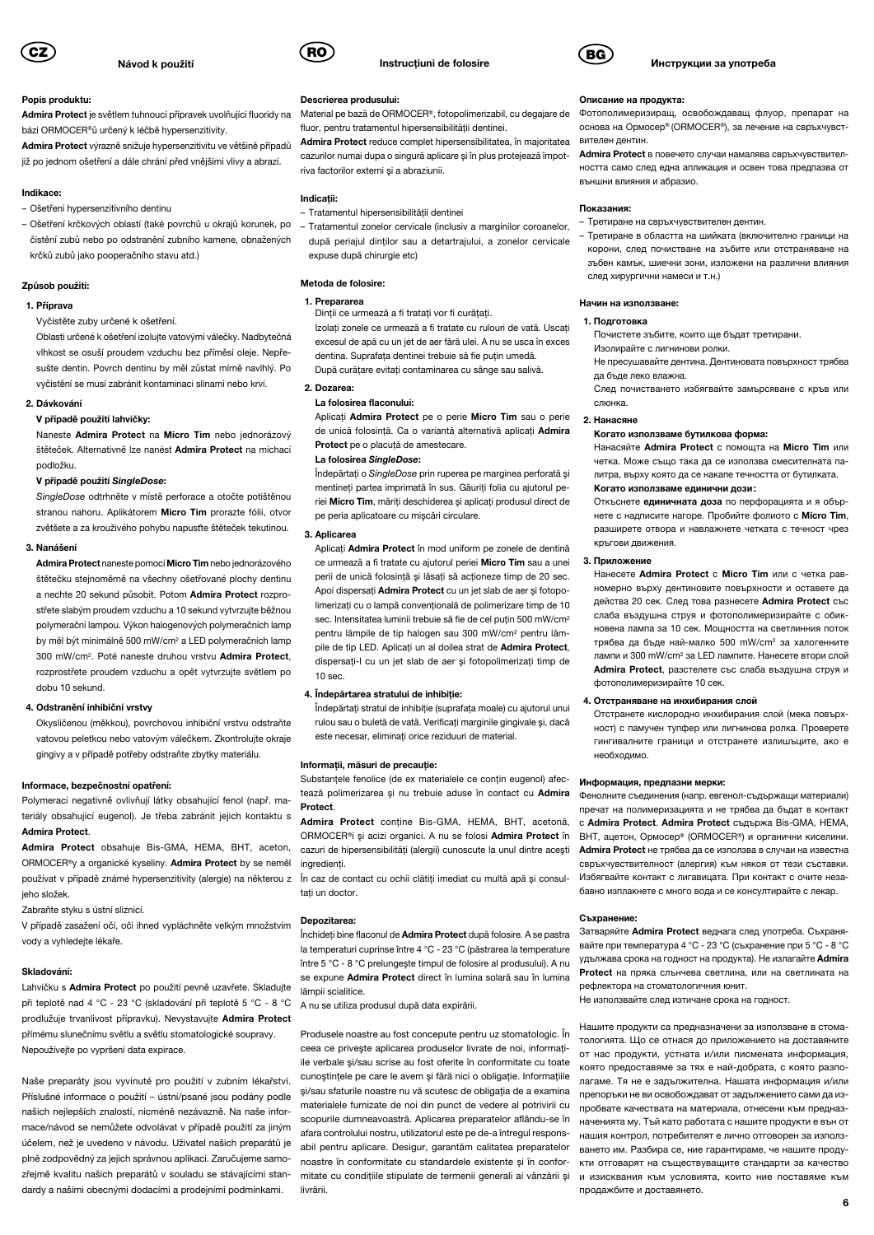

### Popis produktu:

Admira Protect je světlem tuhnoucí přípravek uvolňující fluoridy na bázi ORMOCER®ů určený k léčbě hypersenzitivity.

Admira Protect výrazně snižuje hypersenzitivitu ve většině případů již po jednom ošetření a dále chrání před vnějšími vlivy a abrazí.

#### Indikace:

- Ošetření hypersenzitivního dentinu
- Ošetření krčkových oblastí (také povrchů u okrajů korunek, po čistění zubů nebo po odstranění zubního kamene, obnažených krčků zubů jako pooperačního stavu atd.)

#### Způsob použití:

### 1. Příprava

Vyčistěte zuby určené k ošetření.

Oblasti určené k ošetření izolujte vatovými válečky. Nadbytečná vlhkost se osuší proudem vzduchu bez příměsi oleje. Nepřesušte dentin. Povrch dentinu by měl zůstat mírně navlhlý. Po vyčistění se musí zabránit kontaminaci slinami nebo krví.

#### 2. Dávkování

#### V případě použití lahvičky:

Naneste Admira Protect na Micro Tim nebo jednorázový štěteček. Alternativně lze nanést Admira Protect na míchací podložku.

#### V případě použití SingleDose:

SingleDose odtrhněte v místě perforace a otočte potištěnou stranou nahoru. Aplikátorem Micro Tim prorazte fólii, otvor zvětšete a za krouživého pohybu napusťte štěteček tekutinou.

#### 3. Nanášení

Admira Protect naneste pomocí Micro Tim nebo jednorázového štětečku stejnoměrně na všechny ošetřované plochy dentinu a nechte 20 sekund působit. Potom Admira Protect rozprostřete slabým proudem vzduchu a 10 sekund vytvrzujte běžnou polymerační lampou. Výkon halogenových polymeračních lamp by měl být minimálně 500 mW/cm2 a LED polymeračních lamp 300 mW/cm2. Poté naneste druhou vrstvu Admira Protect, rozprostřete proudem vzduchu a opět vytvrzujte světlem po dobu 10 sekund.

#### 4. Odstranění inhibiční vrstvy

Okysličenou (měkkou), povrchovou inhibiční vrstvu odstraňte vatovou peletkou nebo vatovým válečkem. Zkontrolujte okraje gingivy a v případě potřeby odstraňte zbytky materiálu.

#### Informace, bezpečnostní opatření:

Polymeraci negativně ovlivňují látky obsahující fenol (např. materiály obsahující eugenol). Je třeba zabránit jejich kontaktu s Admira Protect.

Admira Protect obsahuje Bis-GMA, HEMA, BHT, aceton, ORMOCER®y a organické kyseliny. Admira Protect by se neměl používat v případě známé hypersenzitivity (alergie) na některou z ľn caz de contact cu ochii clătiți imediat cu multă apă și consuljeho složek.

Zabraňte styku s ústní sliznicí.

V případě zasažení očí, oči ihned vypláchněte velkým množstvím vody a vyhledejte lékaře.

#### Skladování:

Lahvičku s Admira Protect po použití pevně uzavřete. Skladujte při teplotě nad 4 °C - 23 °C (skladování při teplotě 5 °C - 8 °C prodlužuje trvanlivost přípravku). Nevystavujte Admira Protect přímému slunečnímu světlu a světlu stomatologické soupravy. Nepoužívejte po vypršení data expirace.

Naše preparáty jsou vyvinuté pro použití v zubním lékařství. Příslušné informace o použití – ústní/psané jsou podány podle našich nejlepších znalostí, nicméně nezávazně. Na naše informace/návod se nemůžete odvolávat v případě použití za jiným účelem, než je uvedeno v návodu. Uživatel našich preparátů je plně zodpovědný za jejich správnou aplikaci. Zaručujeme samozřejmě kvalitu našich preparátů v souladu se stávajícími standardy a našimi obecnými dodacími a prodejními podmínkami.



#### Descrierea produsului:

Material pe bază de ORMOCER®, fotopolimerizabil, cu degajare de fluor, pentru tratamentul hipersensibilităţii dentinei.

Admira Protect reduce complet hipersensibilitatea, în majoritatea cazurilor numai dupa o singură aplicare şi în plus protejează împotriva factorilor externi şi a abraziunii.

### Indicatii:

- Tratamentul hipersensibilităţii dentinei
- Tratamentul zonelor cervicale (inclusiv a marginilor coroanelor, după periajul dinților sau a detartrajului, a zonelor cervicale expuse după chirurgie etc)

### Metoda de folosire:

#### 1. Prepararea Dinții ce urmează a fi tratați vor fi curățați.

Izolați zonele ce urmează a fi tratate cu rulouri de vată. Uscați excesul de apă cu un jet de aer fără ulei. A nu se usca în exces dentina. Suprafața dentinei trebuie să fie puțin umedă. După curăţare evitaţi contaminarea cu sânge sau salivă.

2. Dozarea:

#### La folosirea flaconului:

Aplicati Admira Protect pe o perie Micro Tim sau o perie de unică folosință. Ca o variantă alternativă aplicați Admira Protect pe o placuță de amestecare.

#### La folosirea SingleDose:

Îndepărtați o SingleDose prin ruperea pe marginea perforată și mentineţi partea imprimată în sus. Găuriţi folia cu ajutorul periei Micro Tim, măriți deschiderea și aplicați produsul direct de pe peria aplicatoare cu mişcări circulare.

#### 3. Aplicarea

Aplicati Admira Protect în mod uniform pe zonele de dentină ce urmează a fi tratate cu ajutorul periei Micro Tim sau a unei perii de unică folosință și lăsați să acționeze timp de 20 sec. Apoi dispersati Admira Protect cu un jet slab de aer și fotopolimerizati cu o lampă conventională de polimerizare timp de 10 sec. Intensitatea luminii trebuie să fie de cel putin 500 mW/cm<sup>2</sup> pentru lămpile de tip halogen sau 300 mW/cm2 pentru lămpile de tip LED. Aplicati un al doilea strat de Admira Protect. dispersaţi-l cu un jet slab de aer şi fotopolimerizaţi timp de 10 sec.

#### 4. Îndepărtarea stratului de inhibitie:

Îndepărtaţi stratul de inhibiţie (suprafaţa moale) cu ajutorul unui rulou sau o buletă de vată. Verificați marginile gingivale și, dacă este necesar, eliminati orice reziduuri de material.

#### Informații, măsuri de precauție:

Substantele fenolice (de ex materialele ce contin eugenol) afectează polimerizarea şi nu trebuie aduse în contact cu Admira Protect.

Admira Protect contine Bis-GMA, HEMA, BHT, acetonă, ORMOCER®i şi acizi organici. A nu se folosi Admira Protect în cazuri de hipersensibilități (alergii) cunoscute la unul dintre acești ingredienti.

taţi un doctor.

### Depozitarea:

Închideți bine flaconul de Admira Protect după folosire. A se pastra la temperaturi cuprinse între 4 °C - 23 °C (păstrarea la temperature între 5 °C - 8 °C prelungeşte timpul de folosire al produsului). A nu se expune Admira Protect direct în lumina solară sau în lumina lămpii scialitice.

A nu se utiliza produsul după data expirării.

Produsele noastre au fost concepute pentru uz stomatologic. În ceea ce priveşte aplicarea produselor livrate de noi, informaţiile verbale şi/sau scrise au fost oferite în conformitate cu toate cunoștințele pe care le avem și fără nici o obligație. Informațiile şi/sau sfaturile noastre nu vă scutesc de obligaţia de a examina materialele furnizate de noi din punct de vedere al potrivirii cu scopurile dumneavoastră. Aplicarea preparatelor aflându-se în afara controlului nostru, utilizatorul este pe de-a întregul responsabil pentru aplicare. Desigur, garantăm calitatea preparatelor noastre în conformitate cu standardele existente şi în conformitate cu conditiile stipulate de termenii generali ai vânzării și livrării.



#### Инструкции за употреба

#### Описание на продукта:

Фотополимеризиращ, освобождаващ флуор, препарат на основа на Ормосер® (ORMOCER®), за лечение на свръхчувствителен дентин.

Admira Protect в повечето случаи намалява свръхчувствителността само след една апликация и освен това предпазва от външни влияния и абразио.

#### Показания:

- Третиране на свръхчувствителен дентин.
- Третиране в областта на шийката (включително граници на корони, след почистване на зъбите или отстраняване на зъбен камък, шиечни зони, изложени на различни влияния след хирургични намеси и т.н.)

### Начин на използване:

#### 1. Подготовка

Почистете зъбите, които ще бъдат третирани. Изолирайте с лигнинови ролки.

Не пресушавайте дентина. Дентиновата повърхност трябва да бъде леко влажна.

След почистването избягвайте замърсяване с кръв или слюнка.

#### 2. Нанасяне

#### Когато използваме бутилкова форма:

Нанасяйте Admira Protect с помощта на Micro Tim или четка. Може също така да се използва смесителната палитра, върху която да се накапе течността от бутилката. Когато използваме единични дози:

Откъснете единичната доза по перфорацията и я обърнете с надписите нагоре. Пробийте фолиото с Micro Tim, разширете отвора и навлажнете четката с течност чрез кръгови движения.

#### 3. Приложение

Нанесете Admira Protect с Micro Tim или с четка равномерно върху дентиновите повърхности и оставете да действа 20 сек. След това разнесете Admira Protect със слаба въздушна струя и фотополимеризирайте с обикновена лампа за 10 сек. Мощността на светлинния поток трябва да бъде най-малко 500 mW/cm2 за халогенните лампи и 300 mW/cm2 за LED лампите. Нанесете втори слой Admira Protect, разстелете със слаба въздушна струя и фотополимеризирайте 10 сек.

### 4. Отстраняване на инхибирания слой

Отстранете кислородно инхибирания слой (мека повърхност) с памучен тупфер или лигнинова ролка. Проверете гингивалните граници и отстранете излишъците, ако е необходимо.

#### Информация, предпазни мерки:

Фенолните съединения (напр. евгенол-съдържащи материали) пречат на полимеризацията и не трябва да бъдат в контакт с Admira Protect. Admira Protect съдържа Bis-GMA, HEMA, BHT, ацетон, Ормосер® (ORMOCER®) и органични киселини. Admira Protect не трябва да се използва в случаи на известна свръхчувствителност (алергия) към някоя от тези съставки. Избягвайте контакт с лигавицата. При контакт с очите незабавно изплакнете с много вода и се консултирайте с лекар.

#### Съхранение:

Затваряйте Admira Protect веднага след употреба. Съхранявайте при температура 4 °С - 23 °С (съхранение при 5 °С - 8 °С удължава срока на годност на продукта). Не излагайте Admira Protect на пряка слънчева светлина, или на светлината на рефлектора на стоматологичния юнит.

Не използвайте след изтичане срока на годност.

Нашите продукти са предназначени за използване в стоматологията. Що се отнася до приложението на доставяните от нас продукти, устната и/или писмената информация, която предоставяме за тях е най-добрата, с която разполагаме. Тя не е задължителна. Нашата информация и/или препоръки не ви освобождават от задължението сами да изпробвате качествата на материала, отнесени към предназначенията му. Тъй като работата с нашите продукти е вън от нашия контрол, потребителят е лично отговорен за използването им. Разбира се, ние гарантираме, че нашите продукти отговарят на съществуващите стандарти за качество и изисквания към условията, които ние поставяме към продажбите и доставянето.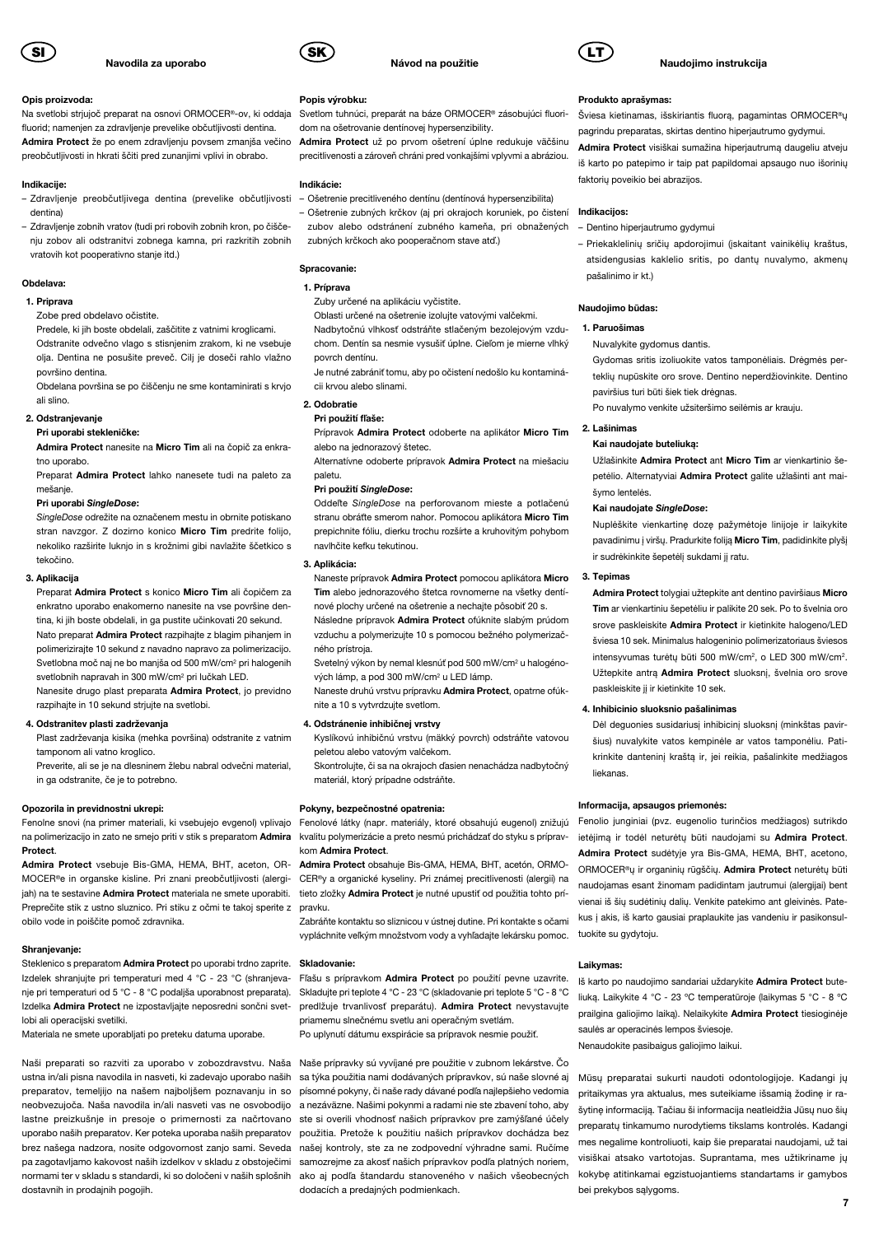

### Opis proizvoda:

Na svetlobi strjujoč preparat na osnovi ORMOCER®-ov, ki oddaja fluorid; namenjen za zdravljenje prevelike občutljivosti dentina. Admira Protect že po enem zdravljenju povsem zmanjša večino preobčutljivosti in hkrati ščiti pred zunanjimi vplivi in obrabo.

### Indikacije:

- Zdravljenje preobčutljivega dentina (prevelike občutljivosti dentina)
- Zdravljenje zobnih vratov (tudi pri robovih zobnih kron, po čiščenju zobov ali odstranitvi zobnega kamna, pri razkritih zobnih vratovih kot pooperativno stanje itd.)

#### Obdelava:

#### 1. Priprava

Zobe pred obdelavo očistite.

Predele, ki jih boste obdelali, zaščitite z vatnimi kroglicami. Odstranite odvečno vlago s stisnjenim zrakom, ki ne vsebuje olja. Dentina ne posušite preveč. Cilj je doseči rahlo vlažno površino dentina.

Obdelana površina se po čiščenju ne sme kontaminirati s krvjo ali slino.

### 2. Odstranjevanje

### Pri uporabi stekleničke:

Admira Protect nanesite na Micro Tim ali na čopič za enkratno uporabo.

Preparat Admira Protect lahko nanesete tudi na paleto za mešanje.

### Pri uporabi SingleDose:

SingleDose odrežite na označenem mestu in obrnite potiskano stran navzgor. Z dozirno konico Micro Tim predrite folijo. nekoliko razširite luknjo in s krožnimi gibi navlažite ščetkico s tekočino.

### 3. Aplikacija

Preparat Admira Protect s konico Micro Tim ali čopičem za enkratno uporabo enakomerno nanesite na vse površine dentina, ki jih boste obdelali, in ga pustite učinkovati 20 sekund. Nato preparat Admira Protect razpihajte z blagim pihanjem in polimerizirajte 10 sekund z navadno napravo za polimerizacijo. Svetlobna moč naj ne bo manjša od 500 mW/cm2 pri halogenih svetlobnih napravah in 300 mW/cm2 pri lučkah LED. Nanesite drugo plast preparata Admira Protect, jo previdno

razpihajte in 10 sekund strjujte na svetlobi.

### 4. Odstranitev plasti zadrževanja

Plast zadrževanja kisika (mehka površina) odstranite z vatnim tamponom ali vatno kroglico.

Preverite, ali se je na dlesninem žlebu nabral odvečni material, in ga odstranite, če je to potrebno.

#### Opozorila in previdnostni ukrepi:

Fenolne snovi (na primer materiali, ki vsebujejo evgenol) vplivajo na polimerizacijo in zato ne smejo priti v stik s preparatom Admira **Protect** 

Admira Protect vsebuje Bis-GMA, HEMA, BHT, aceton, OR-MOCER®e in organske kisline. Pri znani preobčutljivosti (alergiiah) na te sestavine **Admira Protect** materiala ne smete uporabiti. Preprečite stik z ustno sluznico. Pri stiku z očmi te takoj sperite z obilo vode in poiščite pomoč zdravnika.

#### Shranjevanje:

### Steklenico s preparatom Admira Protect po uporabi trdno zaprite. Izdelek shranjujte pri temperaturi med 4 °C - 23 °C (shranjevanje pri temperaturi od 5 °C - 8 °C podaljša uporabnost preparata). Izdelka Admira Protect ne izpostavljajte neposredni sončni svetlobi ali operacijski svetilki.

Materiala ne smete uporabljati po preteku datuma uporabe.

Naši preparati so razviti za uporabo v zobozdravstvu. Naša ustna in/ali pisna navodila in nasveti, ki zadevajo uporabo naših preparatov, temeljijo na našem najboljšem poznavanju in so písomné pokyny, či naše rady dávané podľa najlepšieho vedomia neobvezujoča. Naša navodila in/ali nasveti vas ne osvobodijo lastne preizkušnje in presoje o primernosti za načrtovano uporabo naših preparatov. Ker poteka uporaba naših preparatov použitia. Pretože k použitiu našich prípravkov dochádza bez brez našega nadzora, nosite odgovornost zanjo sami. Seveda pa zagotavljamo kakovost naših izdelkov v skladu z obstoječimi normami ter v skladu s standardi, ki so določeni v naših splošnih dostavnih in prodajnih pogojih.



### Popis výrobku:

Svetlom tuhnúci, preparát na báze ORMOCER® zásobujúci fluoridom na ošetrovanie dentínovej hypersenzibility.

Návod na použitie

Admira Protect už po prvom ošetrení úplne redukuje väčšinu precitlivenosti a zároveň chráni pred vonkajšími vplyvmi a abráziou.

### Indikácie:

- Ošetrenie precitliveného dentínu (dentínová hypersenzibilita)
- Ošetrenie zubných krčkov (aj pri okrajoch koruniek, po čistení zubov alebo odstránení zubného kameňa, pri obnažených zubných krčkoch ako pooperačnom stave atď.)
- 

### Spracovanie:

### 1. Príprava

Zuby určené na aplikáciu vyčistite.

Oblasti určené na ošetrenie izolujte vatovými valčekmi.

Nadbytočnú vlhkosť odstráňte stlačeným bezolejovým vzduchom. Dentín sa nesmie vysušiť úplne. Cieľom je mierne vlhký povrch dentínu.

Je nutné zabrániť tomu, aby po očistení nedošlo ku kontaminácii krvou alebo slinami.

### 2. Odobratie

### Pri použití fľaše:

Prípravok Admira Protect odoberte na aplikátor Micro Tim alebo na jednorazový štetec.

Alternatívne odoberte prípravok Admira Protect na miešaciu paletu.

### Pri použití SingleDose:

Oddeľte SingleDose na perforovanom mieste a potlačenú stranu obráťte smerom nahor. Pomocou aplikátora Micro Tim prepichnite fóliu, dierku trochu rozšírte a kruhovitým pohybom navlhčite kefku tekutinou.

### 3. Aplikácia:

Naneste prípravok Admira Protect pomocou aplikátora Micro Tim alebo jednorazového štetca rovnomerne na všetky dentí-

nové plochy určené na ošetrenie a nechajte pôsobiť 20 s. Následne prípravok Admira Protect ofúknite slabým prúdom vzduchu a polymerizujte 10 s pomocou bežného polymerizačného prístroja.

Svetelný výkon by nemal klesnúť pod 500 mW/cm<sup>2</sup> u halogénových lámp, a pod 300 mW/cm2 u LED lámp.

Naneste druhú vrstvu prípravku Admira Protect, opatrne ofúknite a 10 s vytvrdzujte svetlom.

#### 4. Odstránenie inhibičnej vrstvy

Kyslíkovú inhibičnú vrstvu (mäkký povrch) odstráňte vatovou peletou alebo vatovým valčekom.

Skontrolujte, či sa na okrajoch ďasien nenachádza nadbytočný materiál, ktorý prípadne odstráňte.

### Pokyny, bezpečnostné opatrenia:

Fenolové látky (napr. materiály, ktoré obsahujú eugenol) znižujú kvalitu polymerizácie a preto nesmú prichádzať do styku s prípravkom Admira Protect.

Admira Protect obsahuje Bis-GMA, HEMA, BHT, acetón, ORMO-CER®y a organické kyseliny. Pri známej precitlivenosti (alergii) na tieto zložky Admira Protect je nutné upustiť od použitia tohto prípravku.

Zabráňte kontaktu so sliznicou v ústnej dutine. Pri kontakte s očami vypláchnite veľkým množstvom vody a vyhľadajte lekársku pomoc.

#### Skladovanie:

Fľašu s prípravkom Admira Protect po použití pevne uzavrite. Skladujte pri teplote 4 °C - 23 °C (skladovanie pri teplote 5 °C - 8 °C predlžuje trvanlivosť preparátu). Admira Protect nevystavujte priamemu slnečnému svetlu ani operačným svetlám. Po uplynutí dátumu exspirácie sa prípravok nesmie použiť.

Naše prípravky sú vyvíjané pre použitie v zubnom lekárstve. Čo sa týka použitia nami dodávaných prípravkov, sú naše slovné aj a nezáväzne. Našimi pokynmi a radami nie ste zbavení toho, aby ste si overili vhodnosť našich prípravkov pre zamýšľané účely našej kontroly, ste za ne zodpovední výhradne sami. Ručíme samozrejme za akosť našich prípravkov podľa platných noriem, ako aj podľa štandardu stanoveného v našich všeobecných dodacích a predajných podmienkach.



### Naudojimo instrukcija

#### Produkto aprašymas:

Šviesa kietinamas, išskiriantis fluorą, pagamintas ORMOCER®ų pagrindu preparatas, skirtas dentino hiperjautrumo gydymui.

Admira Protect visiškai sumažina hiperjautrumą daugeliu atveju iš karto po patepimo ir taip pat papildomai apsaugo nuo išorinių faktorių poveikio bei abrazijos.

#### Indikacijos:

– Dentino hiperjautrumo gydymui

– Priekaklelinių sričių apdorojimui (įskaitant vainikėlių kraštus, atsidengusias kaklelio sritis, po dantų nuvalymo, akmenų pašalinimo ir kt.)

#### Naudojimo būdas:

#### 1. Paruošimas

Nuvalykite gydomus dantis.

Gydomas sritis izoliuokite vatos tamponėliais. Drėgmės perteklių nupūskite oro srove. Dentino neperdžiovinkite. Dentino paviršius turi būti šiek tiek drėgnas.

Po nuvalymo venkite užsiteršimo seilėmis ar krauju.

### 2. Lašinimas

#### Kai naudojate buteliuką:

Užlašinkite Admira Protect ant Micro Tim ar vienkartinio šepetėlio. Alternatyviai Admira Protect galite užlašinti ant maišymo lentelės.

### Kai naudojate SingleDose:

Nuplėškite vienkartinę dozę pažymėtoje linijoje ir laikykite pavadinimu į viršų. Pradurkite foliją Micro Tim, padidinkite plyšį ir sudrėkinkite šepetėlį sukdami jį ratu.

### 3. Tepimas

Admira Protect tolygiai užtepkite ant dentino paviršiaus Micro Tim ar vienkartiniu šepetėliu ir palikite 20 sek. Po to švelnia oro srove paskleiskite Admira Protect ir kietinkite halogeno/LED šviesa 10 sek. Minimalus halogeninio polimerizatoriaus šviesos intensyvumas turėtų būti 500 mW/cm2, o LED 300 mW/cm2. Užtepkite antrą Admira Protect sluoksnį, švelnia oro srove paskleiskite jį ir kietinkite 10 sek.

### 4. Inhibicinio sluoksnio pašalinimas

Dėl deguonies susidariusį inhibicinį sluoksnį (minkštas paviršius) nuvalykite vatos kempinėle ar vatos tamponėliu. Patikrinkite danteninį kraštą ir, jei reikia, pašalinkite medžiagos liekanas.

#### Informacija, apsaugos priemonės:

Fenolio junginiai (pvz. eugenolio turinčios medžiagos) sutrikdo ietėjimą ir todėl neturėtų būti naudojami su Admira Protect. Admira Protect sudėtyje yra Bis-GMA, HEMA, BHT, acetono, ORMOCER®ų ir organinių rūgščių. Admira Protect neturėtų būti naudojamas esant žinomam padidintam jautrumui (alergijai) bent vienai iš šių sudėtinių dalių. Venkite patekimo ant gleivinės. Patekus į akis, iš karto gausiai praplaukite jas vandeniu ir pasikonsultuokite su gydytoju.

#### Laikymas:

Iš karto po naudojimo sandariai uždarykite Admira Protect buteliuką. Laikykite 4 °C - 23 ºC temperatūroje (laikymas 5 °C - 8 ºC prailgina galiojimo laiką). Nelaikykite Admira Protect tiesioginėje saulės ar operacinės lempos šviesoje.

Nenaudokite pasibaigus galiojimo laikui.

Mūsų preparatai sukurti naudoti odontologijoje. Kadangi jų pritaikymas yra aktualus, mes suteikiame išsamią žodinę ir rašytinę informaciją. Tačiau ši informacija neatleidžia Jūsų nuo šių preparatų tinkamumo nurodytiems tikslams kontrolės. Kadangi mes negalime kontroliuoti, kaip šie preparatai naudojami, už tai visiškai atsako vartotojas. Suprantama, mes užtikriname jų kokybę atitinkamai egzistuojantiems standartams ir gamybos bei prekybos sąlygoms.